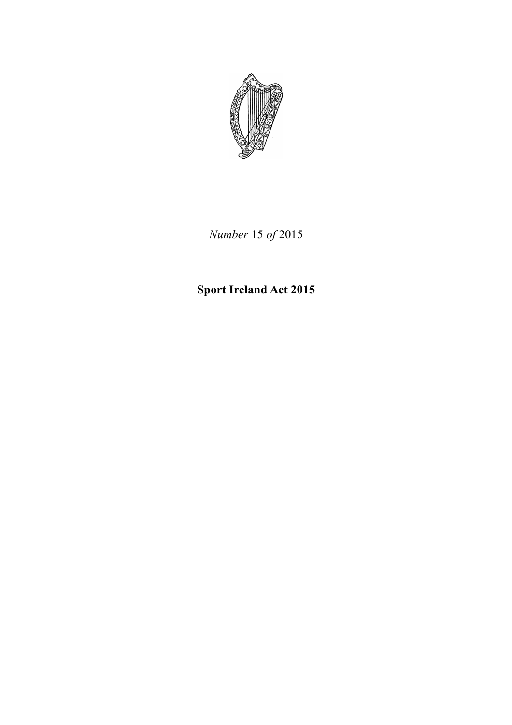

*Number* 15 *of* 2015

**Sport Ireland Act 2015**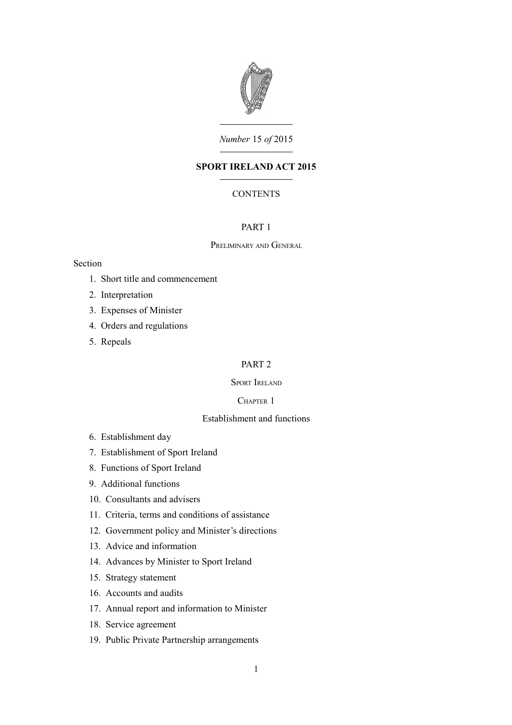

*Number* 15 *of* 2015

# **SPORT IRELAND ACT 2015**

# **CONTENTS**

# [PART 1](#page-6-0)

### P[RELIMINARY](#page-6-3) AND GENERAL

# Section

- 1. [Short title and commencement](#page-6-2)
- 2. [Interpretation](#page-6-1)
- 3. [Expenses of Minister](#page-8-1)
- 4. [Orders and regulations](#page-8-0)
- 5. [Repeals](#page-9-7)

# [PART 2](#page-9-6)

# SPORT I[RELAND](#page-9-5)

# C[HAPTER](#page-9-4) 1

# [Establishment and functions](#page-9-3)

- 6. [Establishment day](#page-9-2)
- 7. [Establishment of Sport Ireland](#page-9-1)
- 8. [Functions of Sport Ireland](#page-9-0)
- 9. [Additional functions](#page-12-2)
- 10. [Consultants and advisers](#page-12-1)
- 11. [Criteria, terms and conditions of assistance](#page-12-0)
- 12. [Government policy and Minister's directions](#page-13-3)
- 13. [Advice and information](#page-13-2)
- 14. [Advances by Minister to Sport Ireland](#page-13-1)
- 15. [Strategy statement](#page-13-0)
- 16. [Accounts and audits](#page-14-0)
- 17. [Annual report and information to Minister](#page-15-2)
- 18. [Service agreement](#page-15-1)
- 19. [Public Private Partnership arrangements](#page-15-0)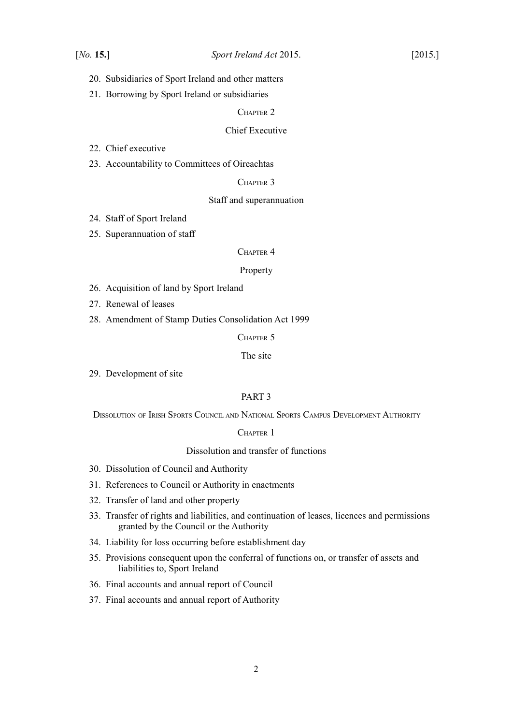- 20. [Subsidiaries of Sport Ireland and other matters](#page-15-3)
- 21. [Borrowing by Sport Ireland or subsidiaries](#page-16-3)

#### C[HAPTER](#page-16-2) 2

# [Chief Executive](#page-16-1)

22. [Chief executive](#page-16-0)

23. [Accountability to Committees of Oireachtas](#page-17-0)

# C[HAPTER](#page-18-2) 3

#### [Staff and superannuation](#page-18-1)

- 24. [Staff of Sport Ireland](#page-18-0)
- 25. [Superannuation of staff](#page-19-0)

#### C[HAPTER](#page-20-4) 4

#### [Property](#page-20-3)

- 26. [Acquisition of land by Sport Ireland](#page-20-2)
- 27. [Renewal of leases](#page-20-1)
- 28. [Amendment of Stamp Duties Consolidation Act 1999](#page-20-0)

# C[HAPTER](#page-21-2) 5

# [The site](#page-21-1)

29. [Development of site](#page-21-0)

#### [PART 3](#page-22-7)

DISSOLUTION OF IRISH SPORTS COUNCIL AND NATIONAL SPORTS CAMPUS D[EVELOPMENT](#page-22-6) AUTHORITY

#### C[HAPTER](#page-22-5) 1

## [Dissolution and transfer of functions](#page-22-4)

- 30. [Dissolution of Council and Authority](#page-22-3)
- 31. [References to Council or Authority in enactments](#page-22-2)
- 32. [Transfer of land and other property](#page-22-1)
- 33. [Transfer of rights and liabilities, and continuation of leases, licences and permissions](#page-22-0) [granted by the Council or the Authority](#page-22-0)
- 34. [Liability for loss occurring before establishment day](#page-23-1)
- 35. [Provisions consequent upon the conferral of functions on, or transfer of assets and](#page-23-0) [liabilities to, Sport Ireland](#page-23-0)
- 36. [Final accounts and annual report of Council](#page-24-1)
- 37. [Final accounts and annual report of Authority](#page-24-0)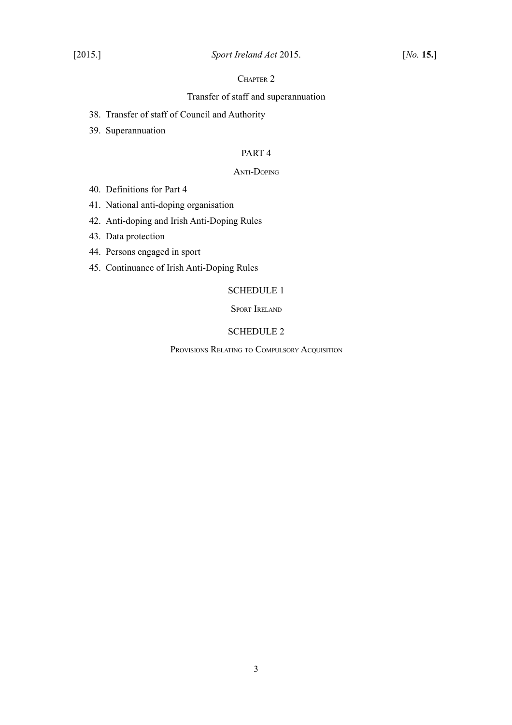# C[HAPTER](#page-25-3) 2

# [Transfer of staff and superannuation](#page-25-2)

- 38. [Transfer of staff of Council and Authority](#page-25-1)
- 39. [Superannuation](#page-25-0)

# [PART 4](#page-26-2)

#### ANTI-D[OPING](#page-26-1)

- 40. [Definitions for Part 4](#page-26-0)
- 41. [National anti-doping organisation](#page-27-1)
- 42. [Anti-doping and Irish Anti-Doping Rules](#page-27-0)
- 43. [Data protection](#page-28-2)
- 44. [Persons engaged in sport](#page-28-1)
- 45. [Continuance of Irish Anti-Doping Rules](#page-28-0)

# [SCHEDULE 1](#page-29-1)

SPORT I[RELAND](#page-29-0)

# [SCHEDULE 2](#page-37-1)

PROVISIONS RELATING TO C[OMPULSORY](#page-37-0) ACQUISITION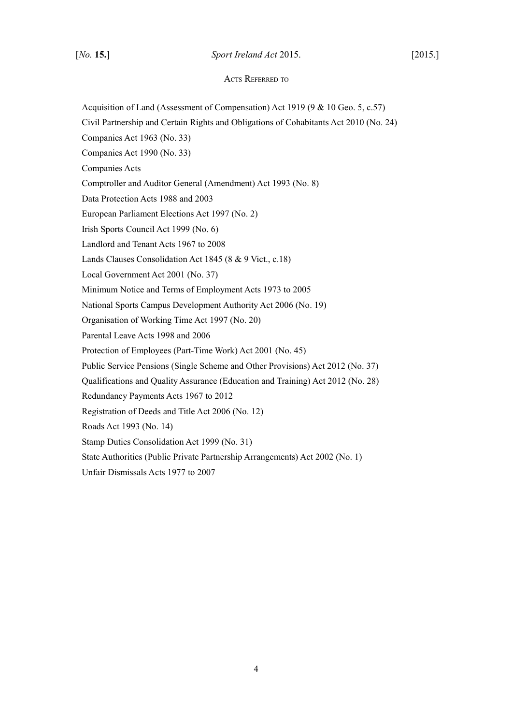## [*No.* **15.**] *Sport Ireland Act* 2015. [2015.]

## ACTS REFERRED TO

Acquisition of Land (Assessment of Compensation) Act 1919 (9 & 10 Geo. 5, c.57)

Civil Partnership and Certain Rights and Obligations of Cohabitants Act 2010 (No. 24)

Companies Act 1963 (No. 33)

Companies Act 1990 (No. 33)

Companies Acts

Comptroller and Auditor General (Amendment) Act 1993 (No. 8)

Data Protection Acts 1988 and 2003

European Parliament Elections Act 1997 (No. 2)

Irish Sports Council Act 1999 (No. 6)

Landlord and Tenant Acts 1967 to 2008

Lands Clauses Consolidation Act 1845 (8 & 9 Vict., c.18)

Local Government Act 2001 (No. 37)

Minimum Notice and Terms of Employment Acts 1973 to 2005

National Sports Campus Development Authority Act 2006 (No. 19)

Organisation of Working Time Act 1997 (No. 20)

Parental Leave Acts 1998 and 2006

Protection of Employees (Part-Time Work) Act 2001 (No. 45)

Public Service Pensions (Single Scheme and Other Provisions) Act 2012 (No. 37)

Qualifications and Quality Assurance (Education and Training) Act 2012 (No. 28)

Redundancy Payments Acts 1967 to 2012

Registration of Deeds and Title Act 2006 (No. 12)

Roads Act 1993 (No. 14)

Stamp Duties Consolidation Act 1999 (No. 31)

State Authorities (Public Private Partnership Arrangements) Act 2002 (No. 1)

Unfair Dismissals Acts 1977 to 2007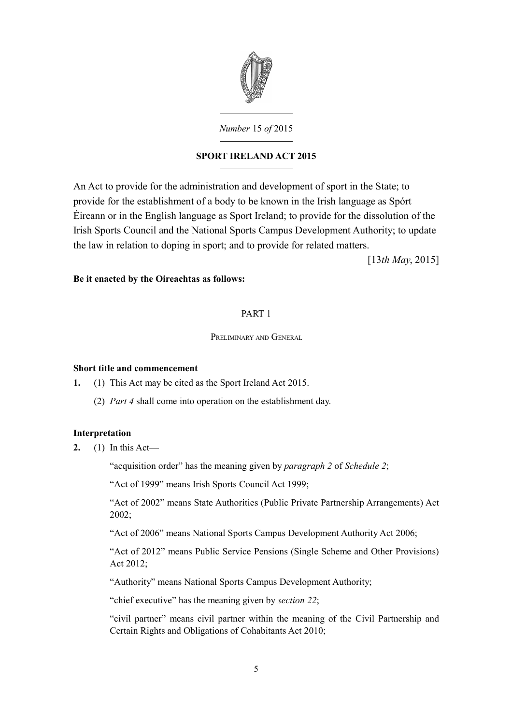

*Number* 15 *of* 2015

# **SPORT IRELAND ACT 2015**

An Act to provide for the administration and development of sport in the State; to provide for the establishment of a body to be known in the Irish language as Spórt Éireann or in the English language as Sport Ireland; to provide for the dissolution of the Irish Sports Council and the National Sports Campus Development Authority; to update the law in relation to doping in sport; and to provide for related matters.

[13*th May*, 2015]

# **Be it enacted by the Oireachtas as follows:**

# <span id="page-6-0"></span>PART 1

# <span id="page-6-3"></span>PRELIMINARY AND GENERAL

# <span id="page-6-2"></span>**Short title and commencement**

- **1.** (1) This Act may be cited as the Sport Ireland Act 2015.
	- (2) *Part [4](#page-26-3)* shall come into operation on the establishment day.

# <span id="page-6-1"></span>**Interpretation**

**2.** (1) In this Act—

"acquisition order" has the meaning given by *paragraph [2](#page-37-3)* of *Schedule [2](#page-37-2)*;

"Act of 1999" means [Irish Sports Council Act 1999;](http://www.irishstatutebook.ie/1999/en/act/pub/0006/index.html)

"Act of 2002" means [State Authorities \(Public Private Partnership Arrangements\) Act](http://www.irishstatutebook.ie/2002/en/act/pub/0001/index.html) [2002;](http://www.irishstatutebook.ie/2002/en/act/pub/0001/index.html)

"Act of 2006" means [National Sports Campus Development Authority Act 2006;](http://www.irishstatutebook.ie/2006/en/act/pub/0019/index.html)

"Act of 2012" means [Public Service Pensions \(Single Scheme and Other Provisions\)](http://www.irishstatutebook.ie/2012/en/act/pub/0037/index.html) [Act 2012;](http://www.irishstatutebook.ie/2012/en/act/pub/0037/index.html)

"Authority" means National Sports Campus Development Authority;

"chief executive" has the meaning given by *section [22](#page-16-4)*;

"civil partner" means civil partner within the meaning of the [Civil Partnership and](http://www.irishstatutebook.ie/2010/en/act/pub/0024/index.html) [Certain Rights and Obligations of Cohabitants Act 2010;](http://www.irishstatutebook.ie/2010/en/act/pub/0024/index.html)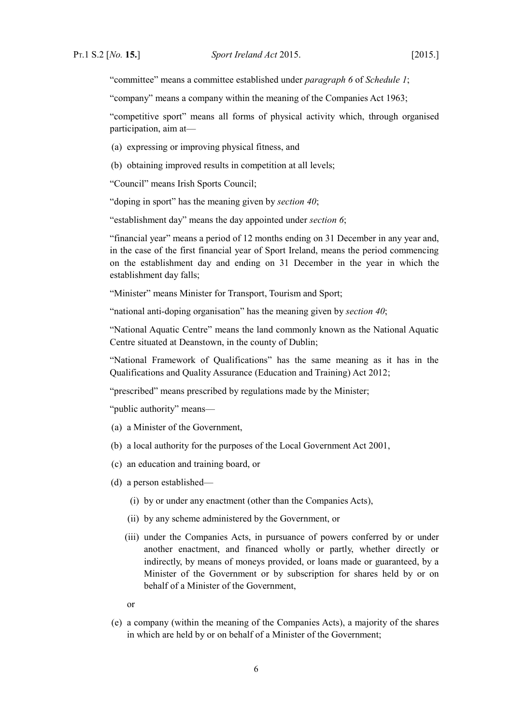"committee" means a committee established under *paragraph [6](#page-31-0)* of *Schedule [1](#page-29-2)*;

"company" means a company within the meaning of the [Companies Act 1963;](http://www.irishstatutebook.ie/1963/en/act/pub/0033/index.html)

"competitive sport" means all forms of physical activity which, through organised participation, aim at—

- (a) expressing or improving physical fitness, and
- (b) obtaining improved results in competition at all levels;

"Council" means Irish Sports Council;

"doping in sport" has the meaning given by *section [40](#page-26-4)*;

"establishment day" means the day appointed under *section [6](#page-9-8)*;

"financial year" means a period of 12 months ending on 31 December in any year and, in the case of the first financial year of Sport Ireland, means the period commencing on the establishment day and ending on 31 December in the year in which the establishment day falls;

"Minister" means Minister for Transport, Tourism and Sport;

"national anti-doping organisation" has the meaning given by *section [40](#page-26-4)*;

"National Aquatic Centre" means the land commonly known as the National Aquatic Centre situated at Deanstown, in the county of Dublin;

"National Framework of Qualifications" has the same meaning as it has in the [Qualifications and Quality Assurance \(Education and Training\) Act 2012;](http://www.irishstatutebook.ie/2012/en/act/pub/0028/index.html)

"prescribed" means prescribed by regulations made by the Minister;

"public authority" means—

- (a) a Minister of the Government,
- (b) a local authority for the purposes of the [Local Government Act 2001,](http://www.irishstatutebook.ie/2001/en/act/pub/0037/index.html)
- (c) an education and training board, or
- (d) a person established—
	- (i) by or under any enactment (other than the Companies Acts),
	- (ii) by any scheme administered by the Government, or
	- (iii) under the Companies Acts, in pursuance of powers conferred by or under another enactment, and financed wholly or partly, whether directly or indirectly, by means of moneys provided, or loans made or guaranteed, by a Minister of the Government or by subscription for shares held by or on behalf of a Minister of the Government

or

(e) a company (within the meaning of the Companies Acts), a majority of the shares in which are held by or on behalf of a Minister of the Government;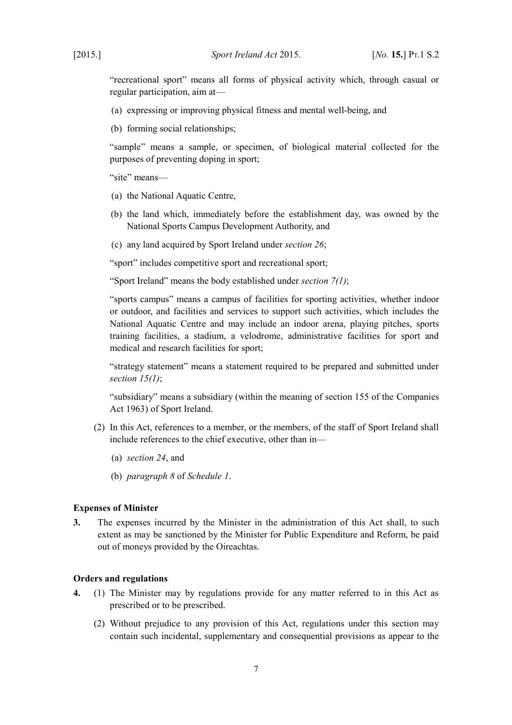"recreational sport" means all forms of physical activity which, through casual or regular participation, aim at—

- (a) expressing or improving physical fitness and mental well-being, and
- (b) forming social relationships;

"sample" means a sample, or specimen, of biological material collected for the purposes of preventing doping in sport;

"site" means—

- (a) the National Aquatic Centre,
- (b) the land which, immediately before the establishment day, was owned by the National Sports Campus Development Authority, and
- (c) any land acquired by Sport Ireland under *section [26](#page-20-5)*;

"sport" includes competitive sport and recreational sport;

"Sport Ireland" means the body established under *section [7](#page-9-10)[\(1\)](#page-9-9)*;

"sports campus" means a campus of facilities for sporting activities, whether indoor or outdoor, and facilities and services to support such activities, which includes the National Aquatic Centre and may include an indoor arena, playing pitches, sports training facilities, a stadium, a velodrome, administrative facilities for sport and medical and research facilities for sport;

"strategy statement" means a statement required to be prepared and submitted under *section [15](#page-13-5)[\(1\)](#page-13-4)*;

"subsidiary" means a subsidiary (within the meaning of section 155 of the [Companies](http://www.irishstatutebook.ie/1963/en/act/pub/0033/index.html) [Act 1963\)](http://www.irishstatutebook.ie/1963/en/act/pub/0033/index.html) of Sport Ireland.

- (2) In this Act, references to a member, or the members, of the staff of Sport Ireland shall include references to the chief executive, other than in—
	- (a) *section [24](#page-18-3)*, and
	- (b) *paragraph [8](#page-33-0)* of *Schedule [1](#page-29-2)*.

#### <span id="page-8-1"></span>**Expenses of Minister**

**3.** The expenses incurred by the Minister in the administration of this Act shall, to such extent as may be sanctioned by the Minister for Public Expenditure and Reform, be paid out of moneys provided by the Oireachtas.

# <span id="page-8-0"></span>**Orders and regulations**

- **4.** (1) The Minister may by regulations provide for any matter referred to in this Act as prescribed or to be prescribed.
	- (2) Without prejudice to any provision of this Act, regulations under this section may contain such incidental, supplementary and consequential provisions as appear to the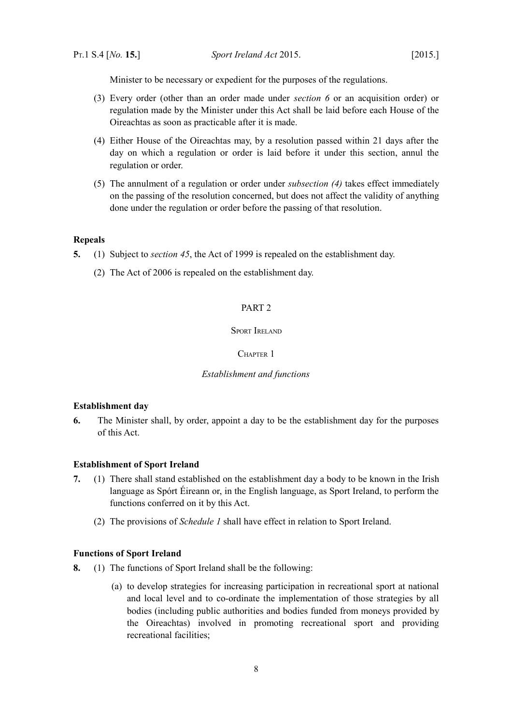Minister to be necessary or expedient for the purposes of the regulations.

- (3) Every order (other than an order made under *section [6](#page-9-8)* or an acquisition order) or regulation made by the Minister under this Act shall be laid before each House of the Oireachtas as soon as practicable after it is made.
- <span id="page-9-11"></span>(4) Either House of the Oireachtas may, by a resolution passed within 21 days after the day on which a regulation or order is laid before it under this section, annul the regulation or order.
- (5) The annulment of a regulation or order under *subsection [\(4\)](#page-9-11)* takes effect immediately on the passing of the resolution concerned, but does not affect the validity of anything done under the regulation or order before the passing of that resolution.

# <span id="page-9-7"></span>**Repeals**

- <span id="page-9-14"></span>**5.** (1) Subject to *section [45](#page-28-3)*, the Act of 1999 is repealed on the establishment day.
	- (2) The Act of 2006 is repealed on the establishment day.

# <span id="page-9-6"></span>PART 2

#### <span id="page-9-5"></span>SPORT IRELAND

#### <span id="page-9-4"></span>CHAPTER 1

#### <span id="page-9-3"></span>*Establishment and functions*

#### <span id="page-9-2"></span>**Establishment day**

<span id="page-9-8"></span>**6.** The Minister shall, by order, appoint a day to be the establishment day for the purposes of this Act.

#### <span id="page-9-1"></span>**Establishment of Sport Ireland**

- <span id="page-9-10"></span><span id="page-9-9"></span>**7.** (1) There shall stand established on the establishment day a body to be known in the Irish language as Spórt Éireann or, in the English language, as Sport Ireland, to perform the functions conferred on it by this Act.
	- (2) The provisions of *Schedule [1](#page-29-2)* shall have effect in relation to Sport Ireland.

#### <span id="page-9-15"></span><span id="page-9-0"></span>**Functions of Sport Ireland**

- <span id="page-9-13"></span><span id="page-9-12"></span>**8.** (1) The functions of Sport Ireland shall be the following:
	- (a) to develop strategies for increasing participation in recreational sport at national and local level and to co-ordinate the implementation of those strategies by all bodies (including public authorities and bodies funded from moneys provided by the Oireachtas) involved in promoting recreational sport and providing recreational facilities;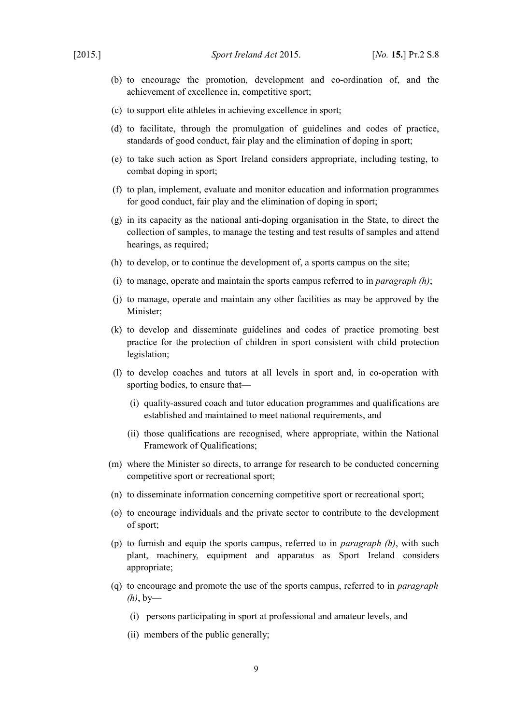- (b) to encourage the promotion, development and co-ordination of, and the achievement of excellence in, competitive sport;
- (c) to support elite athletes in achieving excellence in sport;
- <span id="page-10-2"></span>(d) to facilitate, through the promulgation of guidelines and codes of practice, standards of good conduct, fair play and the elimination of doping in sport;
- (e) to take such action as Sport Ireland considers appropriate, including testing, to combat doping in sport;
- (f) to plan, implement, evaluate and monitor education and information programmes for good conduct, fair play and the elimination of doping in sport;
- <span id="page-10-1"></span>(g) in its capacity as the national anti-doping organisation in the State, to direct the collection of samples, to manage the testing and test results of samples and attend hearings, as required;
- <span id="page-10-0"></span>(h) to develop, or to continue the development of, a sports campus on the site;
- (i) to manage, operate and maintain the sports campus referred to in *paragraph [\(h\)](#page-10-0)*;
- (j) to manage, operate and maintain any other facilities as may be approved by the Minister;
- (k) to develop and disseminate guidelines and codes of practice promoting best practice for the protection of children in sport consistent with child protection legislation;
- (l) to develop coaches and tutors at all levels in sport and, in co-operation with sporting bodies, to ensure that—
	- (i) quality-assured coach and tutor education programmes and qualifications are established and maintained to meet national requirements, and
	- (ii) those qualifications are recognised, where appropriate, within the National Framework of Qualifications;
- (m) where the Minister so directs, to arrange for research to be conducted concerning competitive sport or recreational sport;
- (n) to disseminate information concerning competitive sport or recreational sport;
- (o) to encourage individuals and the private sector to contribute to the development of sport;
- (p) to furnish and equip the sports campus, referred to in *paragraph [\(h\)](#page-10-0)*, with such plant, machinery, equipment and apparatus as Sport Ireland considers appropriate;
- (q) to encourage and promote the use of the sports campus, referred to in *paragraph [\(h\)](#page-10-0)*, by—
	- (i) persons participating in sport at professional and amateur levels, and
	- (ii) members of the public generally;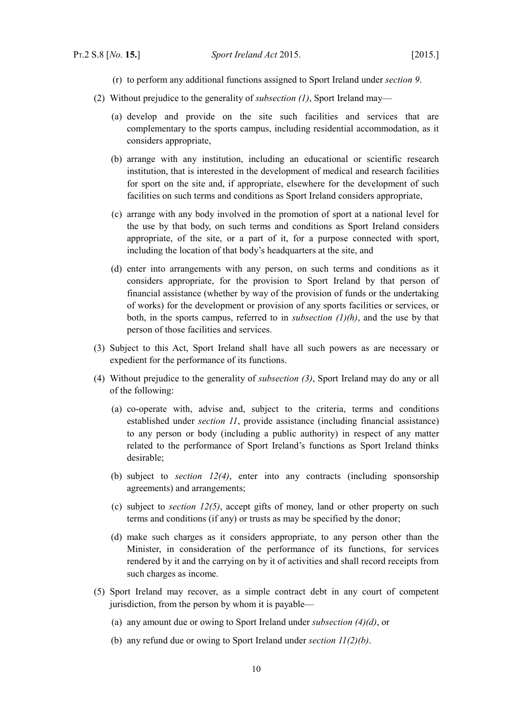- (r) to perform any additional functions assigned to Sport Ireland under *section [9](#page-12-6)*.
- (2) Without prejudice to the generality of *subsection [\(1\)](#page-9-12)*, Sport Ireland may—
	- (a) develop and provide on the site such facilities and services that are complementary to the sports campus, including residential accommodation, as it considers appropriate,
	- (b) arrange with any institution, including an educational or scientific research institution, that is interested in the development of medical and research facilities for sport on the site and, if appropriate, elsewhere for the development of such facilities on such terms and conditions as Sport Ireland considers appropriate,
	- (c) arrange with any body involved in the promotion of sport at a national level for the use by that body, on such terms and conditions as Sport Ireland considers appropriate, of the site, or a part of it, for a purpose connected with sport, including the location of that body's headquarters at the site, and
	- (d) enter into arrangements with any person, on such terms and conditions as it considers appropriate, for the provision to Sport Ireland by that person of financial assistance (whether by way of the provision of funds or the undertaking of works) for the development or provision of any sports facilities or services, or both, in the sports campus, referred to in *subsection [\(1\)](#page-9-12)[\(h\)](#page-10-0)*, and the use by that person of those facilities and services.
- <span id="page-11-2"></span>(3) Subject to this Act, Sport Ireland shall have all such powers as are necessary or expedient for the performance of its functions.
- <span id="page-11-3"></span><span id="page-11-1"></span>(4) Without prejudice to the generality of *subsection [\(3\)](#page-11-2)*, Sport Ireland may do any or all of the following:
	- (a) co-operate with, advise and, subject to the criteria, terms and conditions established under *section [11](#page-12-5)*, provide assistance (including financial assistance) to any person or body (including a public authority) in respect of any matter related to the performance of Sport Ireland's functions as Sport Ireland thinks desirable;
	- (b) subject to *section [12](#page-13-7)[\(4\)](#page-13-8)*, enter into any contracts (including sponsorship agreements) and arrangements;
	- (c) subject to *section [12](#page-13-7)[\(5\)](#page-13-6)*, accept gifts of money, land or other property on such terms and conditions (if any) or trusts as may be specified by the donor;
	- (d) make such charges as it considers appropriate, to any person other than the Minister, in consideration of the performance of its functions, for services rendered by it and the carrying on by it of activities and shall record receipts from such charges as income.
- <span id="page-11-0"></span>(5) Sport Ireland may recover, as a simple contract debt in any court of competent jurisdiction, from the person by whom it is payable—
	- (a) any amount due or owing to Sport Ireland under *subsection [\(4\)](#page-11-1)[\(d\)](#page-11-0)*, or
	- (b) any refund due or owing to Sport Ireland under *section [11](#page-12-5)[\(2\)](#page-12-4)[\(b\)](#page-12-3)*.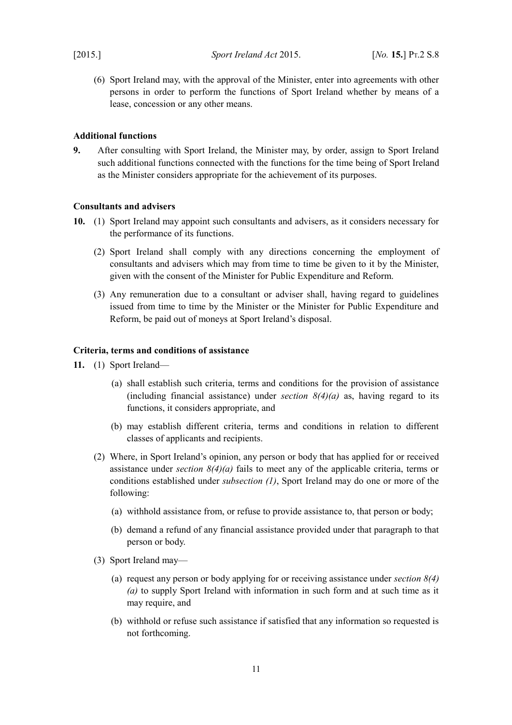(6) Sport Ireland may, with the approval of the Minister, enter into agreements with other persons in order to perform the functions of Sport Ireland whether by means of a lease, concession or any other means.

## <span id="page-12-2"></span>**Additional functions**

<span id="page-12-6"></span>**9.** After consulting with Sport Ireland, the Minister may, by order, assign to Sport Ireland such additional functions connected with the functions for the time being of Sport Ireland as the Minister considers appropriate for the achievement of its purposes.

### <span id="page-12-1"></span>**Consultants and advisers**

- **10.** (1) Sport Ireland may appoint such consultants and advisers, as it considers necessary for the performance of its functions.
	- (2) Sport Ireland shall comply with any directions concerning the employment of consultants and advisers which may from time to time be given to it by the Minister, given with the consent of the Minister for Public Expenditure and Reform.
	- (3) Any remuneration due to a consultant or adviser shall, having regard to guidelines issued from time to time by the Minister or the Minister for Public Expenditure and Reform, be paid out of moneys at Sport Ireland's disposal.

## <span id="page-12-0"></span>**Criteria, terms and conditions of assistance**

- <span id="page-12-7"></span><span id="page-12-5"></span><span id="page-12-4"></span><span id="page-12-3"></span>**11.** (1) Sport Ireland—
	- (a) shall establish such criteria, terms and conditions for the provision of assistance (including financial assistance) under *section [8](#page-9-13)[\(4\)](#page-11-1)[\(a\)](#page-11-3)* as, having regard to its functions, it considers appropriate, and
	- (b) may establish different criteria, terms and conditions in relation to different classes of applicants and recipients.
	- (2) Where, in Sport Ireland's opinion, any person or body that has applied for or received assistance under *section [8](#page-9-13)[\(4\)](#page-11-1)[\(a\)](#page-11-3)* fails to meet any of the applicable criteria, terms or conditions established under *subsection [\(1\)](#page-12-7)*, Sport Ireland may do one or more of the following:
		- (a) withhold assistance from, or refuse to provide assistance to, that person or body;
		- (b) demand a refund of any financial assistance provided under that paragraph to that person or body.
	- (3) Sport Ireland may—
		- (a) request any person or body applying for or receiving assistance under *section [8](#page-9-13)[\(4\)](#page-11-1) [\(a\)](#page-11-3)* to supply Sport Ireland with information in such form and at such time as it may require, and
		- (b) withhold or refuse such assistance if satisfied that any information so requested is not forthcoming.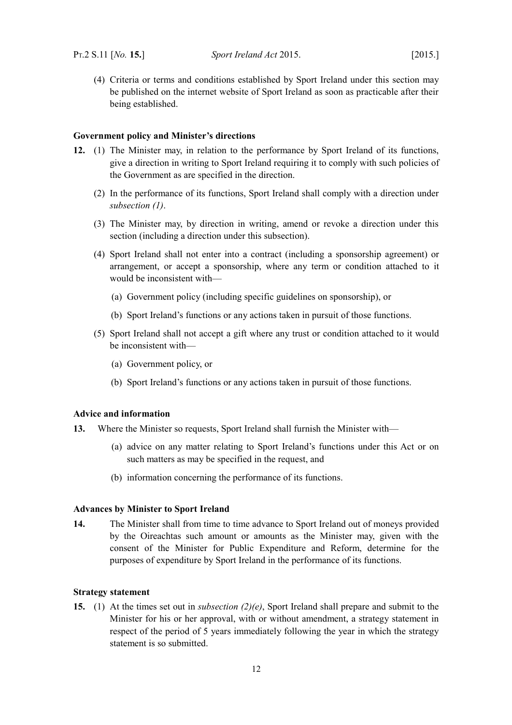(4) Criteria or terms and conditions established by Sport Ireland under this section may be published on the internet website of Sport Ireland as soon as practicable after their being established.

#### <span id="page-13-3"></span>**Government policy and Minister's directions**

- <span id="page-13-9"></span><span id="page-13-8"></span><span id="page-13-7"></span>**12.** (1) The Minister may, in relation to the performance by Sport Ireland of its functions, give a direction in writing to Sport Ireland requiring it to comply with such policies of the Government as are specified in the direction.
	- (2) In the performance of its functions, Sport Ireland shall comply with a direction under *subsection [\(1\)](#page-13-9)*.
	- (3) The Minister may, by direction in writing, amend or revoke a direction under this section (including a direction under this subsection).
	- (4) Sport Ireland shall not enter into a contract (including a sponsorship agreement) or arrangement, or accept a sponsorship, where any term or condition attached to it would be inconsistent with—
		- (a) Government policy (including specific guidelines on sponsorship), or
		- (b) Sport Ireland's functions or any actions taken in pursuit of those functions.
	- (5) Sport Ireland shall not accept a gift where any trust or condition attached to it would be inconsistent with—
		- (a) Government policy, or
		- (b) Sport Ireland's functions or any actions taken in pursuit of those functions.

# <span id="page-13-6"></span><span id="page-13-2"></span>**Advice and information**

- <span id="page-13-11"></span>**13.** Where the Minister so requests, Sport Ireland shall furnish the Minister with—
	- (a) advice on any matter relating to Sport Ireland's functions under this Act or on such matters as may be specified in the request, and
	- (b) information concerning the performance of its functions.

#### <span id="page-13-1"></span>**Advances by Minister to Sport Ireland**

<span id="page-13-10"></span>**14.** The Minister shall from time to time advance to Sport Ireland out of moneys provided by the Oireachtas such amount or amounts as the Minister may, given with the consent of the Minister for Public Expenditure and Reform, determine for the purposes of expenditure by Sport Ireland in the performance of its functions.

# <span id="page-13-0"></span>**Strategy statement**

<span id="page-13-5"></span><span id="page-13-4"></span>**15.** (1) At the times set out in *subsection [\(2\)](#page-14-2)[\(e\)](#page-14-1)*, Sport Ireland shall prepare and submit to the Minister for his or her approval, with or without amendment, a strategy statement in respect of the period of 5 years immediately following the year in which the strategy statement is so submitted.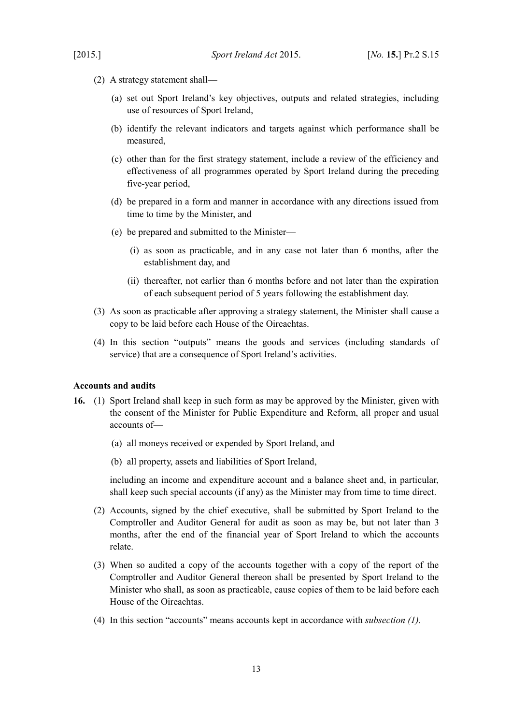- <span id="page-14-2"></span>(2) A strategy statement shall—
	- (a) set out Sport Ireland's key objectives, outputs and related strategies, including use of resources of Sport Ireland,
	- (b) identify the relevant indicators and targets against which performance shall be measured,
	- (c) other than for the first strategy statement, include a review of the efficiency and effectiveness of all programmes operated by Sport Ireland during the preceding five-year period,
	- (d) be prepared in a form and manner in accordance with any directions issued from time to time by the Minister, and
	- (e) be prepared and submitted to the Minister—
		- (i) as soon as practicable, and in any case not later than 6 months, after the establishment day, and
		- (ii) thereafter, not earlier than 6 months before and not later than the expiration of each subsequent period of 5 years following the establishment day.
- <span id="page-14-1"></span>(3) As soon as practicable after approving a strategy statement, the Minister shall cause a copy to be laid before each House of the Oireachtas.
- (4) In this section "outputs" means the goods and services (including standards of service) that are a consequence of Sport Ireland's activities.

#### <span id="page-14-0"></span>**Accounts and audits**

- <span id="page-14-3"></span>**16.** (1) Sport Ireland shall keep in such form as may be approved by the Minister, given with the consent of the Minister for Public Expenditure and Reform, all proper and usual accounts of—
	- (a) all moneys received or expended by Sport Ireland, and
	- (b) all property, assets and liabilities of Sport Ireland,

including an income and expenditure account and a balance sheet and, in particular, shall keep such special accounts (if any) as the Minister may from time to time direct.

- (2) Accounts, signed by the chief executive, shall be submitted by Sport Ireland to the Comptroller and Auditor General for audit as soon as may be, but not later than 3 months, after the end of the financial year of Sport Ireland to which the accounts relate.
- (3) When so audited a copy of the accounts together with a copy of the report of the Comptroller and Auditor General thereon shall be presented by Sport Ireland to the Minister who shall, as soon as practicable, cause copies of them to be laid before each House of the Oireachtas.
- (4) In this section "accounts" means accounts kept in accordance with *subsection [\(1\).](#page-14-3)*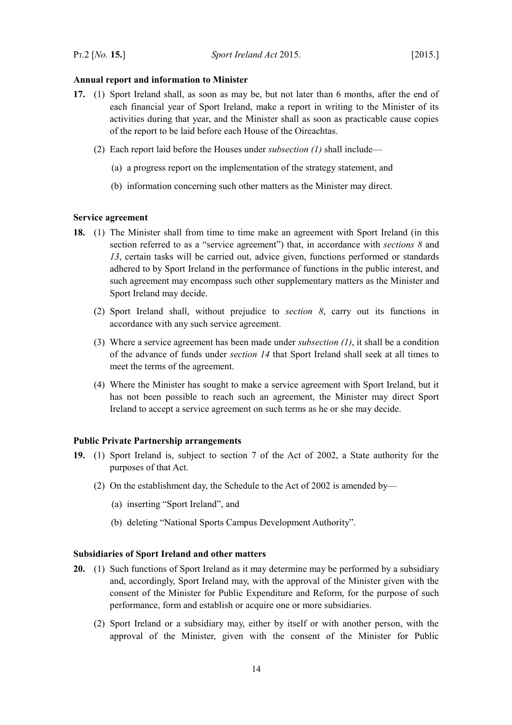#### <span id="page-15-2"></span>**Annual report and information to Minister**

- <span id="page-15-5"></span>**17.** (1) Sport Ireland shall, as soon as may be, but not later than 6 months, after the end of each financial year of Sport Ireland, make a report in writing to the Minister of its activities during that year, and the Minister shall as soon as practicable cause copies of the report to be laid before each House of the Oireachtas.
	- (2) Each report laid before the Houses under *subsection [\(1\)](#page-15-5)* shall include—
		- (a) a progress report on the implementation of the strategy statement, and
		- (b) information concerning such other matters as the Minister may direct.

### <span id="page-15-1"></span>**Service agreement**

- <span id="page-15-4"></span>**18.** (1) The Minister shall from time to time make an agreement with Sport Ireland (in this section referred to as a "service agreement") that, in accordance with *sections [8](#page-9-13)* and *[13](#page-13-11)*, certain tasks will be carried out, advice given, functions performed or standards adhered to by Sport Ireland in the performance of functions in the public interest, and such agreement may encompass such other supplementary matters as the Minister and Sport Ireland may decide.
	- (2) Sport Ireland shall, without prejudice to *section [8](#page-9-13)*, carry out its functions in accordance with any such service agreement.
	- (3) Where a service agreement has been made under *subsection [\(1\)](#page-15-4)*, it shall be a condition of the advance of funds under *section [14](#page-13-10)* that Sport Ireland shall seek at all times to meet the terms of the agreement.
	- (4) Where the Minister has sought to make a service agreement with Sport Ireland, but it has not been possible to reach such an agreement, the Minister may direct Sport Ireland to accept a service agreement on such terms as he or she may decide.

#### <span id="page-15-0"></span>**Public Private Partnership arrangements**

- **19.** (1) Sport Ireland is, subject to section 7 of the Act of 2002, a State authority for the purposes of that Act.
	- (2) On the establishment day, the Schedule to the Act of 2002 is amended by—
		- (a) inserting "Sport Ireland", and
		- (b) deleting "National Sports Campus Development Authority".

#### <span id="page-15-3"></span>**Subsidiaries of Sport Ireland and other matters**

- **20.** (1) Such functions of Sport Ireland as it may determine may be performed by a subsidiary and, accordingly, Sport Ireland may, with the approval of the Minister given with the consent of the Minister for Public Expenditure and Reform, for the purpose of such performance, form and establish or acquire one or more subsidiaries.
	- (2) Sport Ireland or a subsidiary may, either by itself or with another person, with the approval of the Minister, given with the consent of the Minister for Public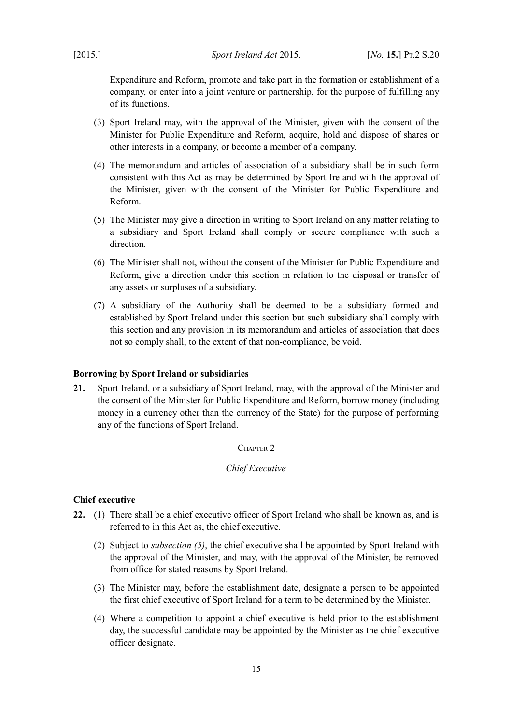Expenditure and Reform, promote and take part in the formation or establishment of a company, or enter into a joint venture or partnership, for the purpose of fulfilling any of its functions.

- (3) Sport Ireland may, with the approval of the Minister, given with the consent of the Minister for Public Expenditure and Reform, acquire, hold and dispose of shares or other interests in a company, or become a member of a company.
- (4) The memorandum and articles of association of a subsidiary shall be in such form consistent with this Act as may be determined by Sport Ireland with the approval of the Minister, given with the consent of the Minister for Public Expenditure and Reform.
- (5) The Minister may give a direction in writing to Sport Ireland on any matter relating to a subsidiary and Sport Ireland shall comply or secure compliance with such a direction.
- (6) The Minister shall not, without the consent of the Minister for Public Expenditure and Reform, give a direction under this section in relation to the disposal or transfer of any assets or surpluses of a subsidiary.
- (7) A subsidiary of the Authority shall be deemed to be a subsidiary formed and established by Sport Ireland under this section but such subsidiary shall comply with this section and any provision in its memorandum and articles of association that does not so comply shall, to the extent of that non-compliance, be void.

#### <span id="page-16-3"></span>**Borrowing by Sport Ireland or subsidiaries**

**21.** Sport Ireland, or a subsidiary of Sport Ireland, may, with the approval of the Minister and the consent of the Minister for Public Expenditure and Reform, borrow money (including money in a currency other than the currency of the State) for the purpose of performing any of the functions of Sport Ireland.

# <span id="page-16-2"></span>CHAPTER 2

#### <span id="page-16-1"></span>*Chief Executive*

## <span id="page-16-0"></span>**Chief executive**

- <span id="page-16-4"></span>**22.** (1) There shall be a chief executive officer of Sport Ireland who shall be known as, and is referred to in this Act as, the chief executive.
	- (2) Subject to *subsection [\(5\)](#page-17-1)*, the chief executive shall be appointed by Sport Ireland with the approval of the Minister, and may, with the approval of the Minister, be removed from office for stated reasons by Sport Ireland.
	- (3) The Minister may, before the establishment date, designate a person to be appointed the first chief executive of Sport Ireland for a term to be determined by the Minister.
	- (4) Where a competition to appoint a chief executive is held prior to the establishment day, the successful candidate may be appointed by the Minister as the chief executive officer designate.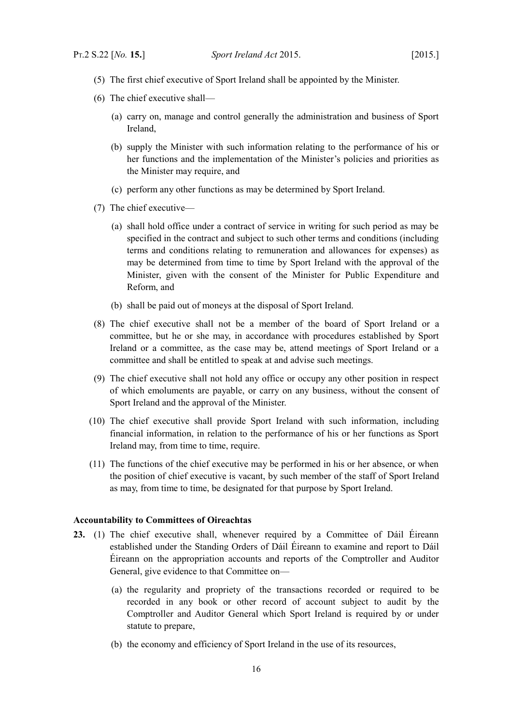- <span id="page-17-1"></span>(5) The first chief executive of Sport Ireland shall be appointed by the Minister.
- (6) The chief executive shall—
	- (a) carry on, manage and control generally the administration and business of Sport Ireland,
	- (b) supply the Minister with such information relating to the performance of his or her functions and the implementation of the Minister's policies and priorities as the Minister may require, and
	- (c) perform any other functions as may be determined by Sport Ireland.
- (7) The chief executive—
	- (a) shall hold office under a contract of service in writing for such period as may be specified in the contract and subject to such other terms and conditions (including terms and conditions relating to remuneration and allowances for expenses) as may be determined from time to time by Sport Ireland with the approval of the Minister, given with the consent of the Minister for Public Expenditure and Reform, and
	- (b) shall be paid out of moneys at the disposal of Sport Ireland.
- (8) The chief executive shall not be a member of the board of Sport Ireland or a committee, but he or she may, in accordance with procedures established by Sport Ireland or a committee, as the case may be, attend meetings of Sport Ireland or a committee and shall be entitled to speak at and advise such meetings.
- (9) The chief executive shall not hold any office or occupy any other position in respect of which emoluments are payable, or carry on any business, without the consent of Sport Ireland and the approval of the Minister.
- (10) The chief executive shall provide Sport Ireland with such information, including financial information, in relation to the performance of his or her functions as Sport Ireland may, from time to time, require.
- (11) The functions of the chief executive may be performed in his or her absence, or when the position of chief executive is vacant, by such member of the staff of Sport Ireland as may, from time to time, be designated for that purpose by Sport Ireland.

#### <span id="page-17-0"></span>**Accountability to Committees of Oireachtas**

- <span id="page-17-3"></span><span id="page-17-2"></span>**23.** (1) The chief executive shall, whenever required by a Committee of Dáil Éireann established under the Standing Orders of Dáil Éireann to examine and report to Dáil Éireann on the appropriation accounts and reports of the Comptroller and Auditor General, give evidence to that Committee on—
	- (a) the regularity and propriety of the transactions recorded or required to be recorded in any book or other record of account subject to audit by the Comptroller and Auditor General which Sport Ireland is required by or under statute to prepare,
	- (b) the economy and efficiency of Sport Ireland in the use of its resources,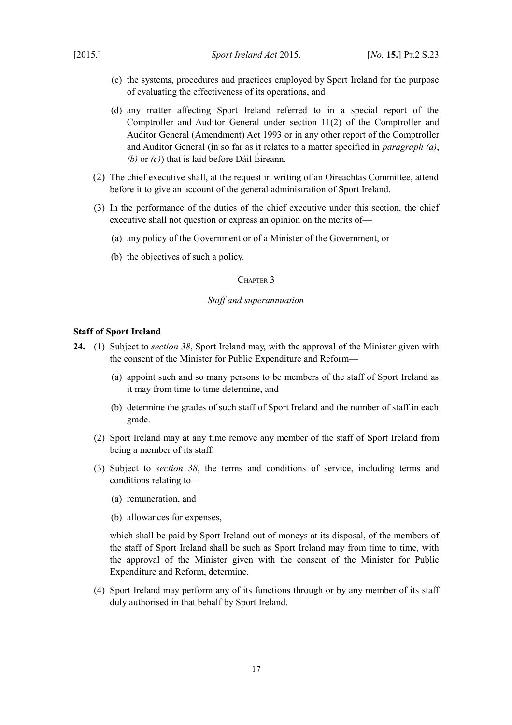- <span id="page-18-4"></span>(c) the systems, procedures and practices employed by Sport Ireland for the purpose of evaluating the effectiveness of its operations, and
- (d) any matter affecting Sport Ireland referred to in a special report of the Comptroller and Auditor General under section 11(2) of the [Comptroller and](http://www.irishstatutebook.ie/1993/en/act/pub/0008/index.html) [Auditor General \(Amendment\) Act 1993](http://www.irishstatutebook.ie/1993/en/act/pub/0008/index.html) or in any other report of the Comptroller and Auditor General (in so far as it relates to a matter specified in *paragraph [\(a\)](#page-17-3)*, *[\(b\)](#page-17-2)* or *[\(c\)](#page-18-4)*) that is laid before Dáil Éireann.
- (2) The chief executive shall, at the request in writing of an Oireachtas Committee, attend before it to give an account of the general administration of Sport Ireland.
- (3) In the performance of the duties of the chief executive under this section, the chief executive shall not question or express an opinion on the merits of—
	- (a) any policy of the Government or of a Minister of the Government, or
	- (b) the objectives of such a policy.

# <span id="page-18-2"></span>CHAPTER 3

## <span id="page-18-1"></span>*Staff and superannuation*

#### <span id="page-18-0"></span>**Staff of Sport Ireland**

- <span id="page-18-3"></span>**24.** (1) Subject to *section [38](#page-25-4)*, Sport Ireland may, with the approval of the Minister given with the consent of the Minister for Public Expenditure and Reform—
	- (a) appoint such and so many persons to be members of the staff of Sport Ireland as it may from time to time determine, and
	- (b) determine the grades of such staff of Sport Ireland and the number of staff in each grade.
	- (2) Sport Ireland may at any time remove any member of the staff of Sport Ireland from being a member of its staff.
	- (3) Subject to *section [38](#page-25-4)*, the terms and conditions of service, including terms and conditions relating to—
		- (a) remuneration, and
		- (b) allowances for expenses,

which shall be paid by Sport Ireland out of moneys at its disposal, of the members of the staff of Sport Ireland shall be such as Sport Ireland may from time to time, with the approval of the Minister given with the consent of the Minister for Public Expenditure and Reform, determine.

(4) Sport Ireland may perform any of its functions through or by any member of its staff duly authorised in that behalf by Sport Ireland.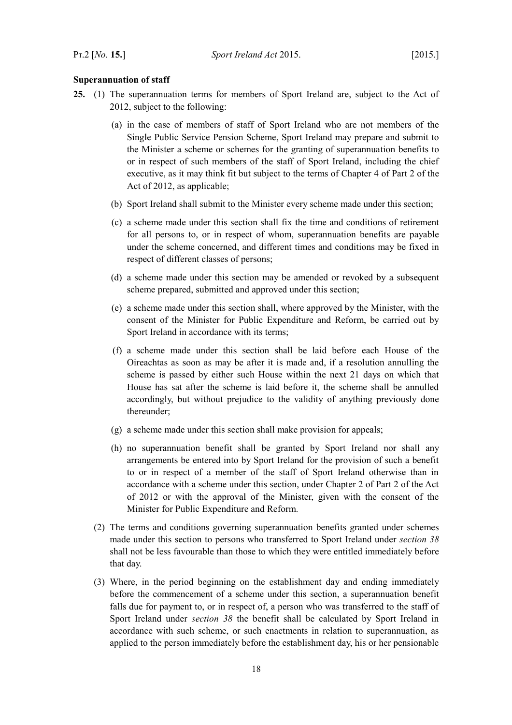# <span id="page-19-0"></span>**Superannuation of staff**

- <span id="page-19-1"></span>**25.** (1) The superannuation terms for members of Sport Ireland are, subject to the Act of 2012, subject to the following:
	- (a) in the case of members of staff of Sport Ireland who are not members of the Single Public Service Pension Scheme, Sport Ireland may prepare and submit to the Minister a scheme or schemes for the granting of superannuation benefits to or in respect of such members of the staff of Sport Ireland, including the chief executive, as it may think fit but subject to the terms of Chapter 4 of Part 2 of the Act of 2012, as applicable;
	- (b) Sport Ireland shall submit to the Minister every scheme made under this section;
	- (c) a scheme made under this section shall fix the time and conditions of retirement for all persons to, or in respect of whom, superannuation benefits are payable under the scheme concerned, and different times and conditions may be fixed in respect of different classes of persons;
	- (d) a scheme made under this section may be amended or revoked by a subsequent scheme prepared, submitted and approved under this section;
	- (e) a scheme made under this section shall, where approved by the Minister, with the consent of the Minister for Public Expenditure and Reform, be carried out by Sport Ireland in accordance with its terms;
	- (f) a scheme made under this section shall be laid before each House of the Oireachtas as soon as may be after it is made and, if a resolution annulling the scheme is passed by either such House within the next 21 days on which that House has sat after the scheme is laid before it, the scheme shall be annulled accordingly, but without prejudice to the validity of anything previously done thereunder;
	- (g) a scheme made under this section shall make provision for appeals;
	- (h) no superannuation benefit shall be granted by Sport Ireland nor shall any arrangements be entered into by Sport Ireland for the provision of such a benefit to or in respect of a member of the staff of Sport Ireland otherwise than in accordance with a scheme under this section, under Chapter 2 of Part 2 of the Act of 2012 or with the approval of the Minister, given with the consent of the Minister for Public Expenditure and Reform.
	- (2) The terms and conditions governing superannuation benefits granted under schemes made under this section to persons who transferred to Sport Ireland under *section [38](#page-25-4)* shall not be less favourable than those to which they were entitled immediately before that day.
	- (3) Where, in the period beginning on the establishment day and ending immediately before the commencement of a scheme under this section, a superannuation benefit falls due for payment to, or in respect of, a person who was transferred to the staff of Sport Ireland under *section [38](#page-25-4)* the benefit shall be calculated by Sport Ireland in accordance with such scheme, or such enactments in relation to superannuation, as applied to the person immediately before the establishment day, his or her pensionable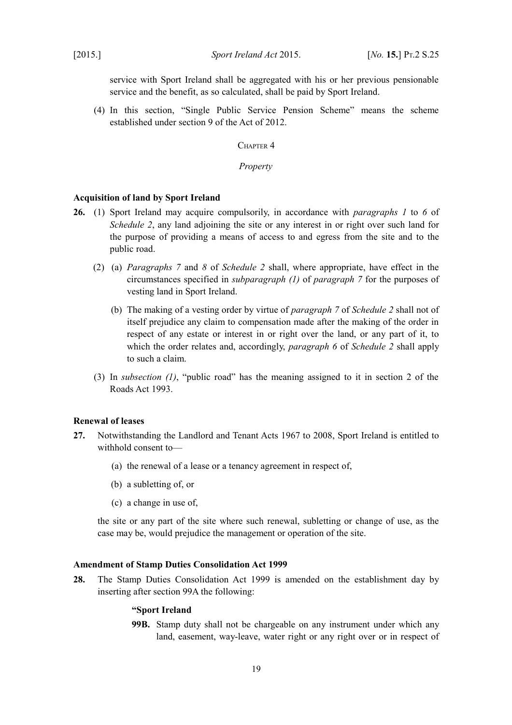service with Sport Ireland shall be aggregated with his or her previous pensionable service and the benefit, as so calculated, shall be paid by Sport Ireland.

(4) In this section, "Single Public Service Pension Scheme" means the scheme established under section 9 of the Act of 2012.

<span id="page-20-4"></span>CHAPTER<sub>4</sub>

<span id="page-20-3"></span>*Property*

#### <span id="page-20-2"></span>**Acquisition of land by Sport Ireland**

- <span id="page-20-7"></span><span id="page-20-6"></span><span id="page-20-5"></span>**26.** (1) Sport Ireland may acquire compulsorily, in accordance with *paragraphs [1](#page-37-4)* to*6* of *Schedule [2](#page-37-2)*, any land adjoining the site or any interest in or right over such land for the purpose of providing a means of access to and egress from the site and to the public road.
	- (2) (a) *Paragraphs [7](#page-38-1)* and*8* of *Schedule [2](#page-37-2)* shall, where appropriate, have effect in the circumstances specified in *subparagraph [\(1\)](#page-38-2)* of *paragraph [7](#page-38-1)* for the purposes of vesting land in Sport Ireland.
		- (b) The making of a vesting order by virtue of *paragraph [7](#page-38-1)* of *Schedule [2](#page-37-2)* shall not of itself prejudice any claim to compensation made after the making of the order in respect of any estate or interest in or right over the land, or any part of it, to which the order relates and, accordingly, *paragraph [6](#page-38-0)* of *Schedule [2](#page-37-2)* shall apply to such a claim.
	- (3) In *subsection [\(1\)](#page-20-6)*, "public road" has the meaning assigned to it in section 2 of the [Roads Act 1993.](http://www.irishstatutebook.ie/1993/en/act/pub/0014/index.html)

# <span id="page-20-1"></span>**Renewal of leases**

- **27.** Notwithstanding the Landlord and Tenant Acts 1967 to 2008, Sport Ireland is entitled to withhold consent to—
	- (a) the renewal of a lease or a tenancy agreement in respect of,
	- (b) a subletting of, or
	- (c) a change in use of,

the site or any part of the site where such renewal, subletting or change of use, as the case may be, would prejudice the management or operation of the site.

#### <span id="page-20-0"></span>**Amendment of [Stamp Duties Consolidation Act 1999](http://www.irishstatutebook.ie/1999/en/act/pub/0031/index.html)**

**28.** The [Stamp Duties Consolidation Act 1999](http://www.irishstatutebook.ie/1999/en/act/pub/0031/index.html) is amended on the establishment day by inserting after section 99A the following:

# **"Sport Ireland**

**99B.** Stamp duty shall not be chargeable on any instrument under which any land, easement, way-leave, water right or any right over or in respect of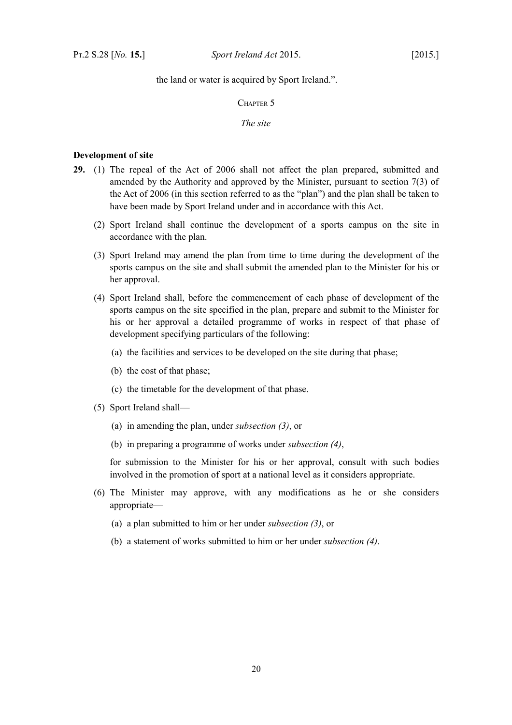the land or water is acquired by Sport Ireland.".

<span id="page-21-2"></span>CHAPTER 5

<span id="page-21-1"></span>*The site*

# <span id="page-21-0"></span>**Development of site**

- <span id="page-21-4"></span><span id="page-21-3"></span>**29.** (1) The repeal of the Act of 2006 shall not affect the plan prepared, submitted and amended by the Authority and approved by the Minister, pursuant to section 7(3) of the Act of 2006 (in this section referred to as the "plan") and the plan shall be taken to have been made by Sport Ireland under and in accordance with this Act.
	- (2) Sport Ireland shall continue the development of a sports campus on the site in accordance with the plan.
	- (3) Sport Ireland may amend the plan from time to time during the development of the sports campus on the site and shall submit the amended plan to the Minister for his or her approval.
	- (4) Sport Ireland shall, before the commencement of each phase of development of the sports campus on the site specified in the plan, prepare and submit to the Minister for his or her approval a detailed programme of works in respect of that phase of development specifying particulars of the following:
		- (a) the facilities and services to be developed on the site during that phase;
		- (b) the cost of that phase;
		- (c) the timetable for the development of that phase.
	- (5) Sport Ireland shall—
		- (a) in amending the plan, under *subsection [\(3\)](#page-21-4)*, or
		- (b) in preparing a programme of works under *subsection [\(4\)](#page-21-3)*,

for submission to the Minister for his or her approval, consult with such bodies involved in the promotion of sport at a national level as it considers appropriate.

- (6) The Minister may approve, with any modifications as he or she considers appropriate—
	- (a) a plan submitted to him or her under *subsection [\(3\)](#page-21-4)*, or
	- (b) a statement of works submitted to him or her under *subsection [\(4\)](#page-21-3)*.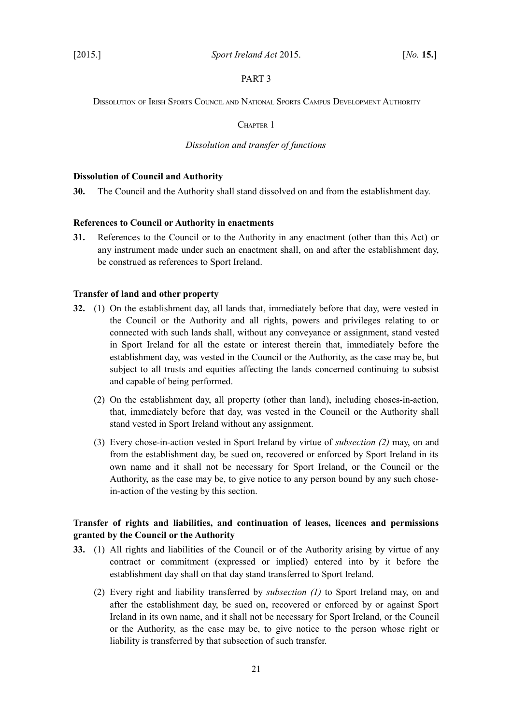## <span id="page-22-7"></span>PART 3

<span id="page-22-6"></span>DISSOLUTION OF IRISH SPORTS COUNCIL AND NATIONAL SPORTS CAMPUS DEVELOPMENT AUTHORITY

<span id="page-22-5"></span>CHAPTER 1

## <span id="page-22-4"></span>*Dissolution and transfer of functions*

#### <span id="page-22-3"></span>**Dissolution of Council and Authority**

**30.** The Council and the Authority shall stand dissolved on and from the establishment day.

# <span id="page-22-2"></span>**References to Council or Authority in enactments**

**31.** References to the Council or to the Authority in any enactment (other than this Act) or any instrument made under such an enactment shall, on and after the establishment day, be construed as references to Sport Ireland.

#### <span id="page-22-1"></span>**Transfer of land and other property**

- <span id="page-22-10"></span><span id="page-22-9"></span>**32.** (1) On the establishment day, all lands that, immediately before that day, were vested in the Council or the Authority and all rights, powers and privileges relating to or connected with such lands shall, without any conveyance or assignment, stand vested in Sport Ireland for all the estate or interest therein that, immediately before the establishment day, was vested in the Council or the Authority, as the case may be, but subject to all trusts and equities affecting the lands concerned continuing to subsist and capable of being performed.
	- (2) On the establishment day, all property (other than land), including choses-in-action, that, immediately before that day, was vested in the Council or the Authority shall stand vested in Sport Ireland without any assignment.
	- (3) Every chose-in-action vested in Sport Ireland by virtue of *subsection [\(2\)](#page-22-9)* may, on and from the establishment day, be sued on, recovered or enforced by Sport Ireland in its own name and it shall not be necessary for Sport Ireland, or the Council or the Authority, as the case may be, to give notice to any person bound by any such chosein-action of the vesting by this section.

# <span id="page-22-0"></span>**Transfer of rights and liabilities, and continuation of leases, licences and permissions granted by the Council or the Authority**

- <span id="page-22-11"></span><span id="page-22-8"></span>**33.** (1) All rights and liabilities of the Council or of the Authority arising by virtue of any contract or commitment (expressed or implied) entered into by it before the establishment day shall on that day stand transferred to Sport Ireland.
	- (2) Every right and liability transferred by *subsection [\(1\)](#page-22-8)* to Sport Ireland may, on and after the establishment day, be sued on, recovered or enforced by or against Sport Ireland in its own name, and it shall not be necessary for Sport Ireland, or the Council or the Authority, as the case may be, to give notice to the person whose right or liability is transferred by that subsection of such transfer.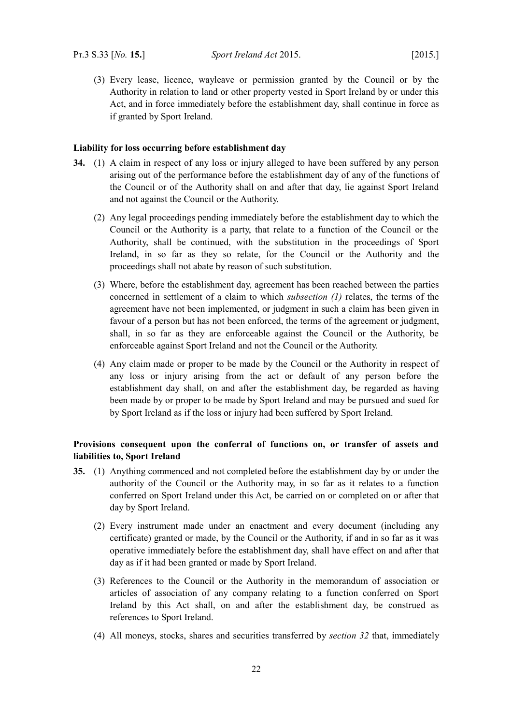(3) Every lease, licence, wayleave or permission granted by the Council or by the Authority in relation to land or other property vested in Sport Ireland by or under this Act, and in force immediately before the establishment day, shall continue in force as if granted by Sport Ireland.

#### <span id="page-23-1"></span>**Liability for loss occurring before establishment day**

- <span id="page-23-2"></span>**34.** (1) A claim in respect of any loss or injury alleged to have been suffered by any person arising out of the performance before the establishment day of any of the functions of the Council or of the Authority shall on and after that day, lie against Sport Ireland and not against the Council or the Authority.
	- (2) Any legal proceedings pending immediately before the establishment day to which the Council or the Authority is a party, that relate to a function of the Council or the Authority, shall be continued, with the substitution in the proceedings of Sport Ireland, in so far as they so relate, for the Council or the Authority and the proceedings shall not abate by reason of such substitution.
	- (3) Where, before the establishment day, agreement has been reached between the parties concerned in settlement of a claim to which *subsection [\(1\)](#page-23-2)* relates, the terms of the agreement have not been implemented, or judgment in such a claim has been given in favour of a person but has not been enforced, the terms of the agreement or judgment, shall, in so far as they are enforceable against the Council or the Authority, be enforceable against Sport Ireland and not the Council or the Authority.
	- (4) Any claim made or proper to be made by the Council or the Authority in respect of any loss or injury arising from the act or default of any person before the establishment day shall, on and after the establishment day, be regarded as having been made by or proper to be made by Sport Ireland and may be pursued and sued for by Sport Ireland as if the loss or injury had been suffered by Sport Ireland.

# <span id="page-23-0"></span>**Provisions consequent upon the conferral of functions on, or transfer of assets and liabilities to, Sport Ireland**

- **35.** (1) Anything commenced and not completed before the establishment day by or under the authority of the Council or the Authority may, in so far as it relates to a function conferred on Sport Ireland under this Act, be carried on or completed on or after that day by Sport Ireland.
	- (2) Every instrument made under an enactment and every document (including any certificate) granted or made, by the Council or the Authority, if and in so far as it was operative immediately before the establishment day, shall have effect on and after that day as if it had been granted or made by Sport Ireland.
	- (3) References to the Council or the Authority in the memorandum of association or articles of association of any company relating to a function conferred on Sport Ireland by this Act shall, on and after the establishment day, be construed as references to Sport Ireland.
	- (4) All moneys, stocks, shares and securities transferred by *section [32](#page-22-10)* that, immediately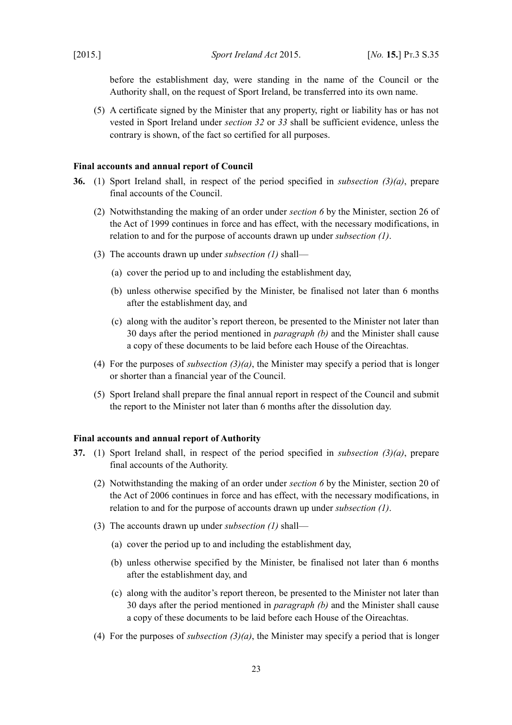before the establishment day, were standing in the name of the Council or the Authority shall, on the request of Sport Ireland, be transferred into its own name.

(5) A certificate signed by the Minister that any property, right or liability has or has not vested in Sport Ireland under *section [32](#page-22-10)* or *[33](#page-22-11)* shall be sufficient evidence, unless the contrary is shown, of the fact so certified for all purposes.

#### <span id="page-24-1"></span>**Final accounts and annual report of Council**

- <span id="page-24-9"></span><span id="page-24-8"></span><span id="page-24-7"></span><span id="page-24-6"></span>**36.** (1) Sport Ireland shall, in respect of the period specified in *subsection [\(3\)](#page-24-7)[\(a\)](#page-24-6)*, prepare final accounts of the Council.
	- (2) Notwithstanding the making of an order under *section [6](#page-9-8)* by the Minister, section 26 of the Act of 1999 continues in force and has effect, with the necessary modifications, in relation to and for the purpose of accounts drawn up under *subsection [\(1\)](#page-24-9)*.
	- (3) The accounts drawn up under *subsection [\(1\)](#page-24-9)* shall—
		- (a) cover the period up to and including the establishment day,
		- (b) unless otherwise specified by the Minister, be finalised not later than 6 months after the establishment day, and
		- (c) along with the auditor's report thereon, be presented to the Minister not later than 30 days after the period mentioned in *paragraph [\(b\)](#page-24-8)* and the Minister shall cause a copy of these documents to be laid before each House of the Oireachtas.
	- (4) For the purposes of *subsection [\(3\)](#page-24-7)[\(a\)](#page-24-6)*, the Minister may specify a period that is longer or shorter than a financial year of the Council.
	- (5) Sport Ireland shall prepare the final annual report in respect of the Council and submit the report to the Minister not later than 6 months after the dissolution day.

## <span id="page-24-0"></span>**Final accounts and annual report of Authority**

- <span id="page-24-5"></span><span id="page-24-4"></span><span id="page-24-3"></span><span id="page-24-2"></span>**37.** (1) Sport Ireland shall, in respect of the period specified in *subsection [\(3\)](#page-24-3)[\(a\)](#page-24-2)*, prepare final accounts of the Authority.
	- (2) Notwithstanding the making of an order under *section [6](#page-9-8)* by the Minister, section 20 of the Act of 2006 continues in force and has effect, with the necessary modifications, in relation to and for the purpose of accounts drawn up under *subsection [\(1\)](#page-24-5)*.
	- (3) The accounts drawn up under *subsection [\(1\)](#page-24-5)* shall—
		- (a) cover the period up to and including the establishment day,
		- (b) unless otherwise specified by the Minister, be finalised not later than 6 months after the establishment day, and
		- (c) along with the auditor's report thereon, be presented to the Minister not later than 30 days after the period mentioned in *paragraph [\(b\)](#page-24-4)* and the Minister shall cause a copy of these documents to be laid before each House of the Oireachtas.
	- (4) For the purposes of *subsection [\(3\)](#page-24-3)[\(a\)](#page-24-2)*, the Minister may specify a period that is longer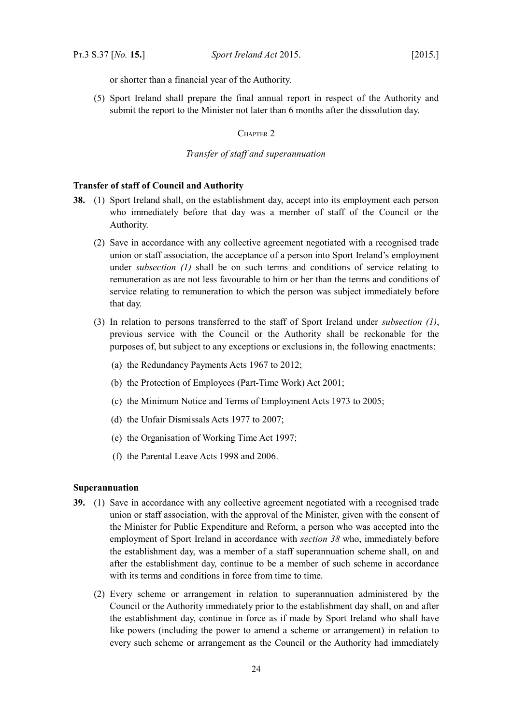or shorter than a financial year of the Authority.

(5) Sport Ireland shall prepare the final annual report in respect of the Authority and submit the report to the Minister not later than 6 months after the dissolution day.

<span id="page-25-3"></span>CHAPTER 2

#### <span id="page-25-2"></span>*Transfer of staff and superannuation*

# <span id="page-25-1"></span>**Transfer of staff of Council and Authority**

- <span id="page-25-5"></span><span id="page-25-4"></span>**38.** (1) Sport Ireland shall, on the establishment day, accept into its employment each person who immediately before that day was a member of staff of the Council or the Authority.
	- (2) Save in accordance with any collective agreement negotiated with a recognised trade union or staff association, the acceptance of a person into Sport Ireland's employment under *subsection [\(1\)](#page-25-5)* shall be on such terms and conditions of service relating to remuneration as are not less favourable to him or her than the terms and conditions of service relating to remuneration to which the person was subject immediately before that day.
	- (3) In relation to persons transferred to the staff of Sport Ireland under *subsection [\(1\)](#page-25-5)*, previous service with the Council or the Authority shall be reckonable for the purposes of, but subject to any exceptions or exclusions in, the following enactments:
		- (a) the Redundancy Payments Acts 1967 to 2012;
		- (b) the [Protection of Employees \(Part-Time Work\) Act 2001;](http://www.irishstatutebook.ie/2001/en/act/pub/0045/index.html)
		- (c) the Minimum Notice and Terms of Employment Acts 1973 to 2005;
		- (d) the Unfair Dismissals Acts 1977 to 2007;
		- (e) the [Organisation of Working Time Act 1997;](http://www.irishstatutebook.ie/1997/en/act/pub/0020/index.html)
		- (f) the Parental Leave Acts 1998 and 2006.

### <span id="page-25-0"></span>**Superannuation**

- <span id="page-25-6"></span>**39.** (1) Save in accordance with any collective agreement negotiated with a recognised trade union or staff association, with the approval of the Minister, given with the consent of the Minister for Public Expenditure and Reform, a person who was accepted into the employment of Sport Ireland in accordance with *section [38](#page-25-4)* who, immediately before the establishment day, was a member of a staff superannuation scheme shall, on and after the establishment day, continue to be a member of such scheme in accordance with its terms and conditions in force from time to time.
	- (2) Every scheme or arrangement in relation to superannuation administered by the Council or the Authority immediately prior to the establishment day shall, on and after the establishment day, continue in force as if made by Sport Ireland who shall have like powers (including the power to amend a scheme or arrangement) in relation to every such scheme or arrangement as the Council or the Authority had immediately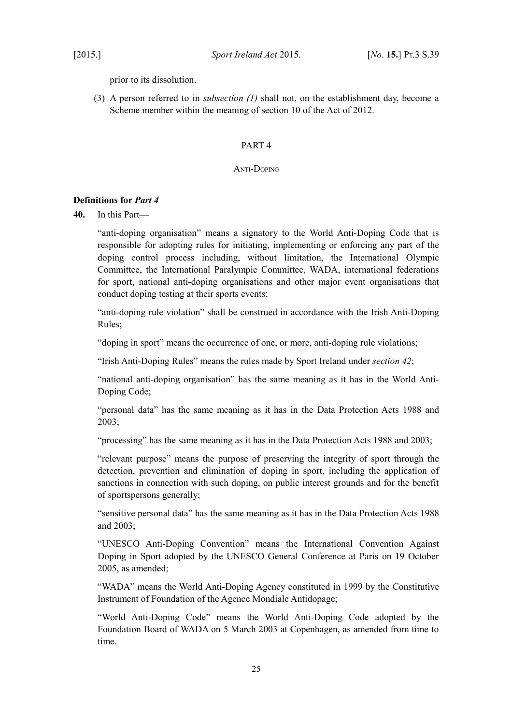prior to its dissolution.

(3) A person referred to in *subsection [\(1\)](#page-25-6)* shall not, on the establishment day, become a Scheme member within the meaning of section 10 of the Act of 2012.

# <span id="page-26-3"></span><span id="page-26-2"></span>PART 4

## <span id="page-26-1"></span>ANTI-DOPING

# <span id="page-26-0"></span>**Definitions for** *Part [4](#page-26-3)*

<span id="page-26-4"></span>**40.** In this Part—

"anti-doping organisation" means a signatory to the World Anti-Doping Code that is responsible for adopting rules for initiating, implementing or enforcing any part of the doping control process including, without limitation, the International Olympic Committee, the International Paralympic Committee, WADA, international federations for sport, national anti-doping organisations and other major event organisations that conduct doping testing at their sports events;

"anti-doping rule violation" shall be construed in accordance with the Irish Anti-Doping Rules;

"doping in sport" means the occurrence of one, or more, anti-doping rule violations;

"Irish Anti-Doping Rules" means the rules made by Sport Ireland under *section [42](#page-27-2)*;

"national anti-doping organisation" has the same meaning as it has in the World Anti-Doping Code;

"personal data" has the same meaning as it has in the Data Protection Acts 1988 and 2003;

"processing" has the same meaning as it has in the Data Protection Acts 1988 and 2003;

"relevant purpose" means the purpose of preserving the integrity of sport through the detection, prevention and elimination of doping in sport, including the application of sanctions in connection with such doping, on public interest grounds and for the benefit of sportspersons generally;

"sensitive personal data" has the same meaning as it has in the Data Protection Acts 1988 and 2003;

"UNESCO Anti-Doping Convention" means the International Convention Against Doping in Sport adopted by the UNESCO General Conference at Paris on 19 October 2005, as amended;

"WADA" means the World Anti-Doping Agency constituted in 1999 by the Constitutive Instrument of Foundation of the Agence Mondiale Antidopage;

"World Anti-Doping Code" means the World Anti-Doping Code adopted by the Foundation Board of WADA on 5 March 2003 at Copenhagen, as amended from time to time.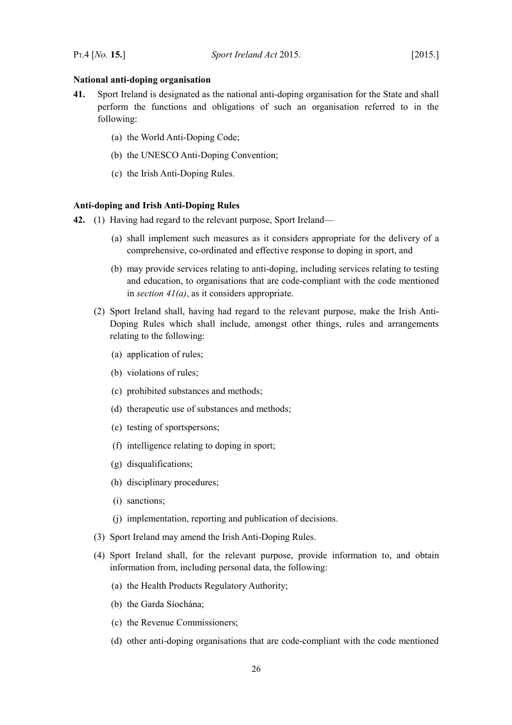#### <span id="page-27-1"></span>**National anti-doping organisation**

- <span id="page-27-4"></span><span id="page-27-3"></span>**41.** Sport Ireland is designated as the national anti-doping organisation for the State and shall perform the functions and obligations of such an organisation referred to in the following:
	- (a) the World Anti-Doping Code;
	- (b) the UNESCO Anti-Doping Convention;
	- (c) the Irish Anti-Doping Rules.

#### <span id="page-27-0"></span>**Anti-doping and Irish Anti-Doping Rules**

- <span id="page-27-5"></span><span id="page-27-2"></span>**42.** (1) Having had regard to the relevant purpose, Sport Ireland—
	- (a) shall implement such measures as it considers appropriate for the delivery of a comprehensive, co-ordinated and effective response to doping in sport, and
	- (b) may provide services relating to anti-doping, including services relating to testing and education, to organisations that are code-compliant with the code mentioned in *section [41](#page-27-4)[\(a\)](#page-27-3)*, as it considers appropriate.
	- (2) Sport Ireland shall, having had regard to the relevant purpose, make the Irish Anti-Doping Rules which shall include, amongst other things, rules and arrangements relating to the following:
		- (a) application of rules;
		- (b) violations of rules;
		- (c) prohibited substances and methods;
		- (d) therapeutic use of substances and methods;
		- (e) testing of sportspersons;
		- (f) intelligence relating to doping in sport;
		- (g) disqualifications;
		- (h) disciplinary procedures;
		- (i) sanctions;
		- (j) implementation, reporting and publication of decisions.
	- (3) Sport Ireland may amend the Irish Anti-Doping Rules.
	- (4) Sport Ireland shall, for the relevant purpose, provide information to, and obtain information from, including personal data, the following:
		- (a) the Health Products Regulatory Authority;
		- (b) the Garda Síochána;
		- (c) the Revenue Commissioners;
		- (d) other anti-doping organisations that are code-compliant with the code mentioned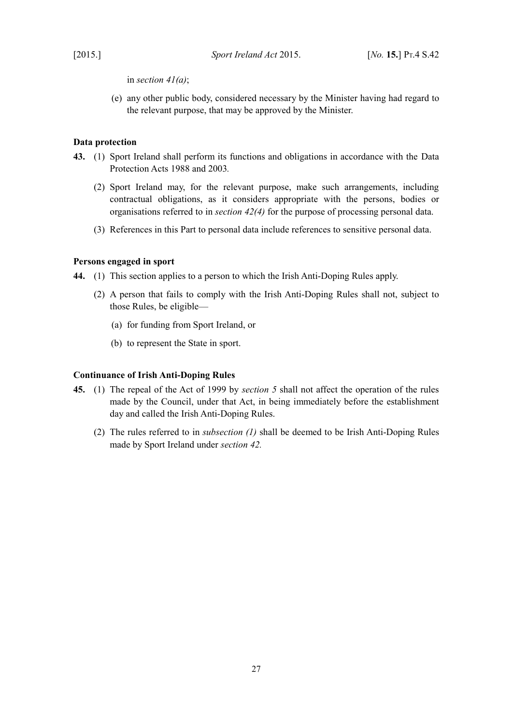in *section [41](#page-27-4)[\(a\)](#page-27-3)*;

(e) any other public body, considered necessary by the Minister having had regard to the relevant purpose, that may be approved by the Minister.

# <span id="page-28-2"></span>**Data protection**

- **43.** (1) Sport Ireland shall perform its functions and obligations in accordance with the Data Protection Acts 1988 and 2003*.*
	- (2) Sport Ireland may, for the relevant purpose, make such arrangements, including contractual obligations, as it considers appropriate with the persons, bodies or organisations referred to in *section [42](#page-27-2)[\(4\)](#page-27-5)* for the purpose of processing personal data.
	- (3) References in this Part to personal data include references to sensitive personal data.

# <span id="page-28-1"></span>**Persons engaged in sport**

- **44.** (1) This section applies to a person to which the Irish Anti-Doping Rules apply.
	- (2) A person that fails to comply with the Irish Anti-Doping Rules shall not, subject to those Rules, be eligible—
		- (a) for funding from Sport Ireland, or
		- (b) to represent the State in sport.

# <span id="page-28-0"></span>**Continuance of Irish Anti-Doping Rules**

- <span id="page-28-4"></span><span id="page-28-3"></span>**45.** (1) The repeal of the Act of 1999 by *section [5](#page-9-14)* shall not affect the operation of the rules made by the Council, under that Act, in being immediately before the establishment day and called the Irish Anti-Doping Rules.
	- (2) The rules referred to in *subsection [\(1\)](#page-28-4)* shall be deemed to be Irish Anti-Doping Rules made by Sport Ireland under *section [42.](#page-27-2)*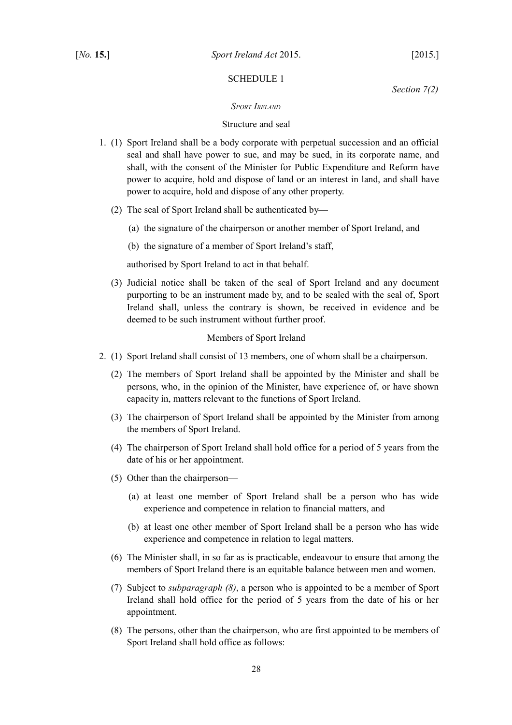# <span id="page-29-2"></span><span id="page-29-1"></span>SCHEDULE 1

*Section [7](#page-9-10)[\(2\)](#page-9-15)*

# <span id="page-29-0"></span>*SPORT IRELAND*

## Structure and seal

- 1. (1) Sport Ireland shall be a body corporate with perpetual succession and an official seal and shall have power to sue, and may be sued, in its corporate name, and shall, with the consent of the Minister for Public Expenditure and Reform have power to acquire, hold and dispose of land or an interest in land, and shall have power to acquire, hold and dispose of any other property.
	- (2) The seal of Sport Ireland shall be authenticated by—
		- (a) the signature of the chairperson or another member of Sport Ireland, and
		- (b) the signature of a member of Sport Ireland's staff,

authorised by Sport Ireland to act in that behalf.

(3) Judicial notice shall be taken of the seal of Sport Ireland and any document purporting to be an instrument made by, and to be sealed with the seal of, Sport Ireland shall, unless the contrary is shown, be received in evidence and be deemed to be such instrument without further proof.

## Members of Sport Ireland

- <span id="page-29-4"></span><span id="page-29-3"></span>2. (1) Sport Ireland shall consist of 13 members, one of whom shall be a chairperson.
	- (2) The members of Sport Ireland shall be appointed by the Minister and shall be persons, who, in the opinion of the Minister, have experience of, or have shown capacity in, matters relevant to the functions of Sport Ireland.
	- (3) The chairperson of Sport Ireland shall be appointed by the Minister from among the members of Sport Ireland.
	- (4) The chairperson of Sport Ireland shall hold office for a period of 5 years from the date of his or her appointment.
	- (5) Other than the chairperson—
		- (a) at least one member of Sport Ireland shall be a person who has wide experience and competence in relation to financial matters, and
		- (b) at least one other member of Sport Ireland shall be a person who has wide experience and competence in relation to legal matters.
	- (6) The Minister shall, in so far as is practicable, endeavour to ensure that among the members of Sport Ireland there is an equitable balance between men and women.
	- (7) Subject to *subparagraph [\(8\)](#page-29-3)*, a person who is appointed to be a member of Sport Ireland shall hold office for the period of 5 years from the date of his or her appointment.
	- (8) The persons, other than the chairperson, who are first appointed to be members of Sport Ireland shall hold office as follows: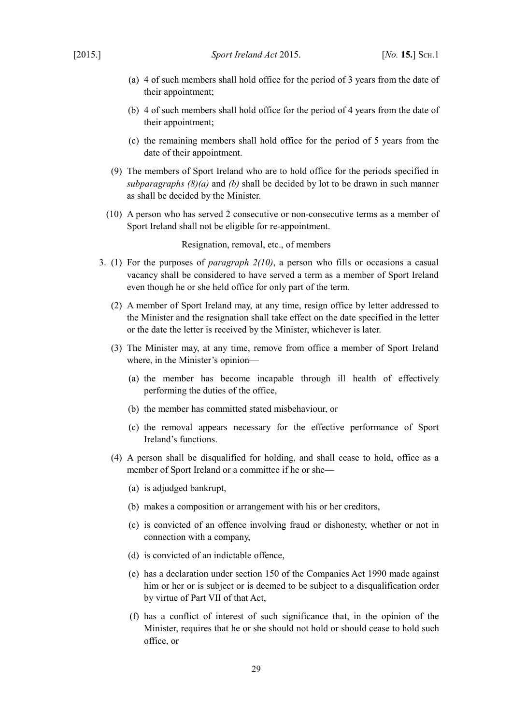- <span id="page-30-2"></span>(a) 4 of such members shall hold office for the period of 3 years from the date of their appointment:
- <span id="page-30-1"></span>(b) 4 of such members shall hold office for the period of 4 years from the date of their appointment;
- (c) the remaining members shall hold office for the period of 5 years from the date of their appointment.
- (9) The members of Sport Ireland who are to hold office for the periods specified in *subparagraphs [\(8\)](#page-29-3)[\(a\)](#page-30-2)* and *[\(b\)](#page-30-1)* shall be decided by lot to be drawn in such manner as shall be decided by the Minister.
- <span id="page-30-0"></span>(10) A person who has served 2 consecutive or non-consecutive terms as a member of Sport Ireland shall not be eligible for re-appointment.

Resignation, removal, etc., of members

- 3. (1) For the purposes of *paragraph [2](#page-29-4)[\(10\)](#page-30-0)*, a person who fills or occasions a casual vacancy shall be considered to have served a term as a member of Sport Ireland even though he or she held office for only part of the term.
	- (2) A member of Sport Ireland may, at any time, resign office by letter addressed to the Minister and the resignation shall take effect on the date specified in the letter or the date the letter is received by the Minister, whichever is later.
	- (3) The Minister may, at any time, remove from office a member of Sport Ireland where, in the Minister's opinion—
		- (a) the member has become incapable through ill health of effectively performing the duties of the office,
		- (b) the member has committed stated misbehaviour, or
		- (c) the removal appears necessary for the effective performance of Sport Ireland's functions.
	- (4) A person shall be disqualified for holding, and shall cease to hold, office as a member of Sport Ireland or a committee if he or she—
		- (a) is adjudged bankrupt,
		- (b) makes a composition or arrangement with his or her creditors,
		- (c) is convicted of an offence involving fraud or dishonesty, whether or not in connection with a company,
		- (d) is convicted of an indictable offence,
		- (e) has a declaration under section 150 of the [Companies Act 1990](http://www.irishstatutebook.ie/1990/en/act/pub/0033/index.html) made against him or her or is subject or is deemed to be subject to a disqualification order by virtue of Part VII of that Act,
		- (f) has a conflict of interest of such significance that, in the opinion of the Minister, requires that he or she should not hold or should cease to hold such office, or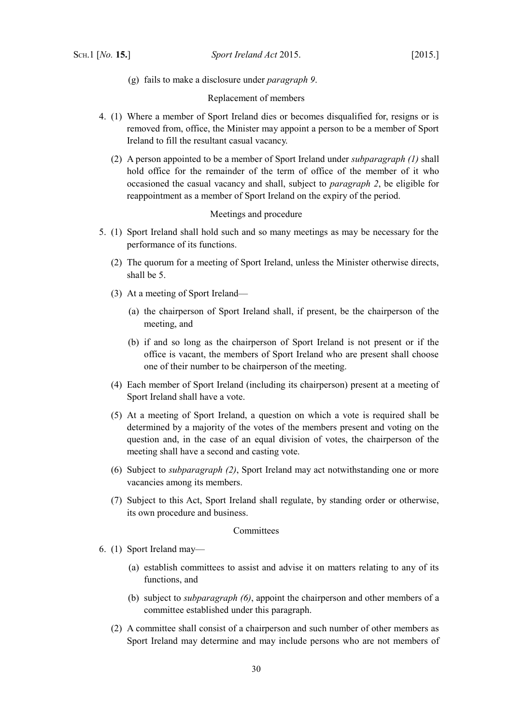(g) fails to make a disclosure under *paragraph [9](#page-34-0)*.

Replacement of members

- <span id="page-31-2"></span>4. (1) Where a member of Sport Ireland dies or becomes disqualified for, resigns or is removed from, office, the Minister may appoint a person to be a member of Sport Ireland to fill the resultant casual vacancy.
	- (2) A person appointed to be a member of Sport Ireland under *subparagraph [\(1\)](#page-31-2)* shall hold office for the remainder of the term of office of the member of it who occasioned the casual vacancy and shall, subject to *paragraph [2](#page-29-4)*, be eligible for reappointment as a member of Sport Ireland on the expiry of the period.

# Meetings and procedure

- <span id="page-31-1"></span>5. (1) Sport Ireland shall hold such and so many meetings as may be necessary for the performance of its functions.
	- (2) The quorum for a meeting of Sport Ireland, unless the Minister otherwise directs, shall be 5.
	- (3) At a meeting of Sport Ireland—
		- (a) the chairperson of Sport Ireland shall, if present, be the chairperson of the meeting, and
		- (b) if and so long as the chairperson of Sport Ireland is not present or if the office is vacant, the members of Sport Ireland who are present shall choose one of their number to be chairperson of the meeting.
	- (4) Each member of Sport Ireland (including its chairperson) present at a meeting of Sport Ireland shall have a vote.
	- (5) At a meeting of Sport Ireland, a question on which a vote is required shall be determined by a majority of the votes of the members present and voting on the question and, in the case of an equal division of votes, the chairperson of the meeting shall have a second and casting vote.
	- (6) Subject to *subparagraph [\(2\)](#page-31-1)*, Sport Ireland may act notwithstanding one or more vacancies among its members.
	- (7) Subject to this Act, Sport Ireland shall regulate, by standing order or otherwise, its own procedure and business.

#### **Committees**

- <span id="page-31-3"></span><span id="page-31-0"></span>6. (1) Sport Ireland may—
	- (a) establish committees to assist and advise it on matters relating to any of its functions, and
	- (b) subject to *subparagraph [\(6\)](#page-32-0)*, appoint the chairperson and other members of a committee established under this paragraph.
	- (2) A committee shall consist of a chairperson and such number of other members as Sport Ireland may determine and may include persons who are not members of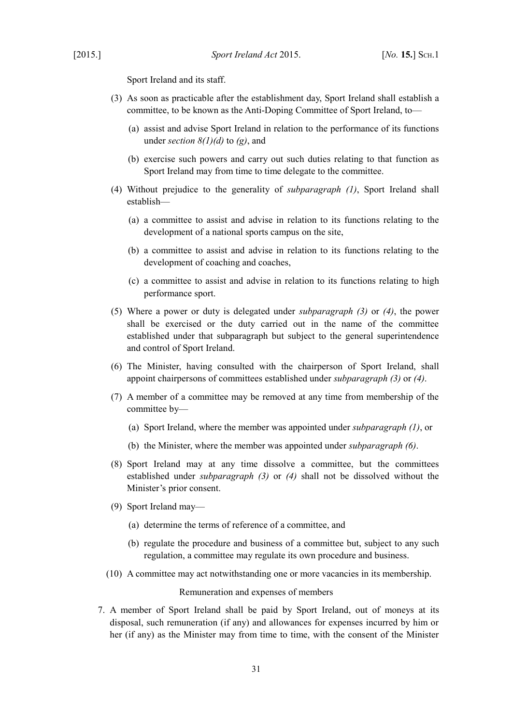Sport Ireland and its staff.

- <span id="page-32-2"></span>(3) As soon as practicable after the establishment day, Sport Ireland shall establish a committee, to be known as the Anti-Doping Committee of Sport Ireland, to—
	- (a) assist and advise Sport Ireland in relation to the performance of its functions under *section [8](#page-9-13)[\(1\)](#page-9-12)[\(d\)](#page-10-2)* to *[\(g\)](#page-10-1)*, and
	- (b) exercise such powers and carry out such duties relating to that function as Sport Ireland may from time to time delegate to the committee.
- <span id="page-32-1"></span>(4) Without prejudice to the generality of *subparagraph [\(1\)](#page-31-3)*, Sport Ireland shall establish—
	- (a) a committee to assist and advise in relation to its functions relating to the development of a national sports campus on the site,
	- (b) a committee to assist and advise in relation to its functions relating to the development of coaching and coaches,
	- (c) a committee to assist and advise in relation to its functions relating to high performance sport.
- (5) Where a power or duty is delegated under *subparagraph [\(3\)](#page-32-2)* or *[\(4\)](#page-32-1)*, the power shall be exercised or the duty carried out in the name of the committee established under that subparagraph but subject to the general superintendence and control of Sport Ireland.
- <span id="page-32-0"></span>(6) The Minister, having consulted with the chairperson of Sport Ireland, shall appoint chairpersons of committees established under *subparagraph [\(3\)](#page-32-2)* or *[\(4\)](#page-32-1)*.
- (7) A member of a committee may be removed at any time from membership of the committee by—
	- (a) Sport Ireland, where the member was appointed under *subparagraph [\(1\)](#page-31-3)*, or
	- (b) the Minister, where the member was appointed under *subparagraph [\(6\)](#page-32-0)*.
- (8) Sport Ireland may at any time dissolve a committee, but the committees established under *subparagraph [\(3\)](#page-32-2)* or *[\(4\)](#page-32-1)* shall not be dissolved without the Minister's prior consent.
- (9) Sport Ireland may—
	- (a) determine the terms of reference of a committee, and
	- (b) regulate the procedure and business of a committee but, subject to any such regulation, a committee may regulate its own procedure and business.
- (10) A committee may act notwithstanding one or more vacancies in its membership.

Remuneration and expenses of members

7. A member of Sport Ireland shall be paid by Sport Ireland, out of moneys at its disposal, such remuneration (if any) and allowances for expenses incurred by him or her (if any) as the Minister may from time to time, with the consent of the Minister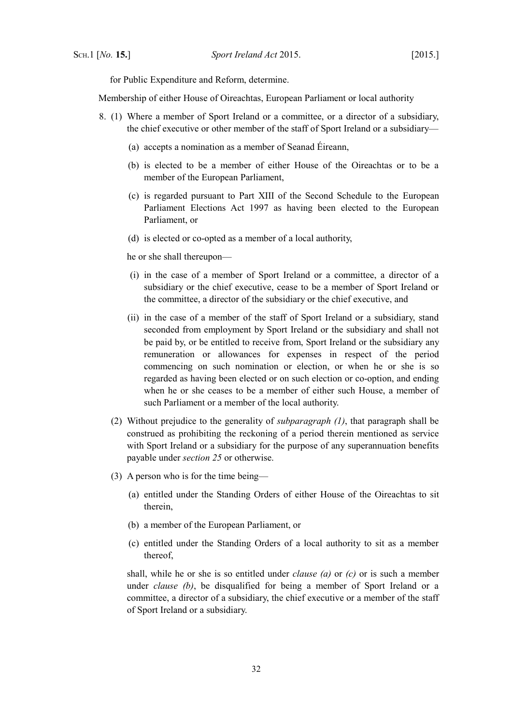for Public Expenditure and Reform, determine.

Membership of either House of Oireachtas, European Parliament or local authority

- <span id="page-33-4"></span><span id="page-33-0"></span>8. (1) Where a member of Sport Ireland or a committee, or a director of a subsidiary, the chief executive or other member of the staff of Sport Ireland or a subsidiary—
	- (a) accepts a nomination as a member of Seanad Éireann,
	- (b) is elected to be a member of either House of the Oireachtas or to be a member of the European Parliament,
	- (c) is regarded pursuant to Part XIII of the Second Schedule to the [European](http://www.irishstatutebook.ie/1997/en/act/pub/0002/index.html) [Parliament Elections Act 1997](http://www.irishstatutebook.ie/1997/en/act/pub/0002/index.html) as having been elected to the European Parliament, or
	- (d) is elected or co-opted as a member of a local authority,

he or she shall thereupon—

- (i) in the case of a member of Sport Ireland or a committee, a director of a subsidiary or the chief executive, cease to be a member of Sport Ireland or the committee, a director of the subsidiary or the chief executive, and
- (ii) in the case of a member of the staff of Sport Ireland or a subsidiary, stand seconded from employment by Sport Ireland or the subsidiary and shall not be paid by, or be entitled to receive from, Sport Ireland or the subsidiary any remuneration or allowances for expenses in respect of the period commencing on such nomination or election, or when he or she is so regarded as having been elected or on such election or co-option, and ending when he or she ceases to be a member of either such House, a member of such Parliament or a member of the local authority.
- (2) Without prejudice to the generality of *subparagraph [\(1\)](#page-33-4)*, that paragraph shall be construed as prohibiting the reckoning of a period therein mentioned as service with Sport Ireland or a subsidiary for the purpose of any superannuation benefits payable under *section [25](#page-19-1)* or otherwise.
- <span id="page-33-3"></span><span id="page-33-1"></span>(3) A person who is for the time being—
	- (a) entitled under the Standing Orders of either House of the Oireachtas to sit therein,
	- (b) a member of the European Parliament, or
	- (c) entitled under the Standing Orders of a local authority to sit as a member thereof,

<span id="page-33-2"></span>shall, while he or she is so entitled under *clause [\(a\)](#page-33-3)* or *[\(c\)](#page-33-2)* or is such a member under *clause [\(b\)](#page-33-1)*, be disqualified for being a member of Sport Ireland or a committee, a director of a subsidiary, the chief executive or a member of the staff of Sport Ireland or a subsidiary.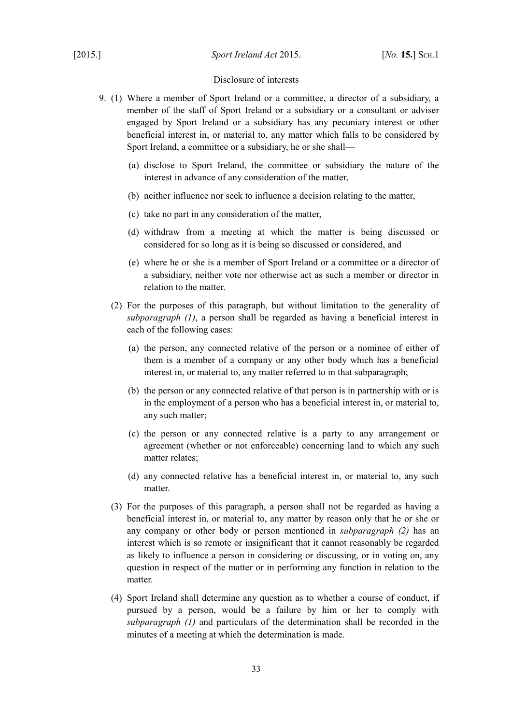#### Disclosure of interests

- <span id="page-34-2"></span><span id="page-34-1"></span><span id="page-34-0"></span>9. (1) Where a member of Sport Ireland or a committee, a director of a subsidiary, a member of the staff of Sport Ireland or a subsidiary or a consultant or adviser engaged by Sport Ireland or a subsidiary has any pecuniary interest or other beneficial interest in, or material to, any matter which falls to be considered by Sport Ireland, a committee or a subsidiary, he or she shall—
	- (a) disclose to Sport Ireland, the committee or subsidiary the nature of the interest in advance of any consideration of the matter,
	- (b) neither influence nor seek to influence a decision relating to the matter,
	- (c) take no part in any consideration of the matter,
	- (d) withdraw from a meeting at which the matter is being discussed or considered for so long as it is being so discussed or considered, and
	- (e) where he or she is a member of Sport Ireland or a committee or a director of a subsidiary, neither vote nor otherwise act as such a member or director in relation to the matter.
	- (2) For the purposes of this paragraph, but without limitation to the generality of *subparagraph [\(1\)](#page-34-1)*, a person shall be regarded as having a beneficial interest in each of the following cases:
		- (a) the person, any connected relative of the person or a nominee of either of them is a member of a company or any other body which has a beneficial interest in, or material to, any matter referred to in that subparagraph;
		- (b) the person or any connected relative of that person is in partnership with or is in the employment of a person who has a beneficial interest in, or material to, any such matter;
		- (c) the person or any connected relative is a party to any arrangement or agreement (whether or not enforceable) concerning land to which any such matter relates;
		- (d) any connected relative has a beneficial interest in, or material to, any such matter.
	- (3) For the purposes of this paragraph, a person shall not be regarded as having a beneficial interest in, or material to, any matter by reason only that he or she or any company or other body or person mentioned in *subparagraph [\(2\)](#page-34-2)* has an interest which is so remote or insignificant that it cannot reasonably be regarded as likely to influence a person in considering or discussing, or in voting on, any question in respect of the matter or in performing any function in relation to the matter.
	- (4) Sport Ireland shall determine any question as to whether a course of conduct, if pursued by a person, would be a failure by him or her to comply with *subparagraph [\(1\)](#page-34-1)* and particulars of the determination shall be recorded in the minutes of a meeting at which the determination is made.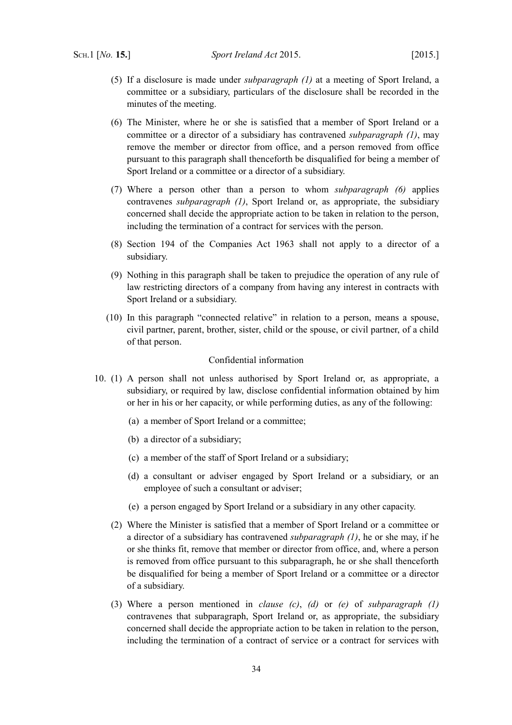- (5) If a disclosure is made under *subparagraph [\(1\)](#page-34-1)* at a meeting of Sport Ireland, a committee or a subsidiary, particulars of the disclosure shall be recorded in the minutes of the meeting.
- <span id="page-35-4"></span>(6) The Minister, where he or she is satisfied that a member of Sport Ireland or a committee or a director of a subsidiary has contravened *subparagraph [\(1\)](#page-34-1)*, may remove the member or director from office, and a person removed from office pursuant to this paragraph shall thenceforth be disqualified for being a member of Sport Ireland or a committee or a director of a subsidiary.
- (7) Where a person other than a person to whom *subparagraph [\(6\)](#page-35-4)* applies contravenes *subparagraph [\(1\)](#page-34-1)*, Sport Ireland or, as appropriate, the subsidiary concerned shall decide the appropriate action to be taken in relation to the person, including the termination of a contract for services with the person.
- (8) Section 194 of the [Companies Act 1963](http://www.irishstatutebook.ie/1963/en/act/pub/0033/index.html) shall not apply to a director of a subsidiary.
- (9) Nothing in this paragraph shall be taken to prejudice the operation of any rule of law restricting directors of a company from having any interest in contracts with Sport Ireland or a subsidiary.
- (10) In this paragraph "connected relative" in relation to a person, means a spouse, civil partner, parent, brother, sister, child or the spouse, or civil partner, of a child of that person.

#### Confidential information

- <span id="page-35-3"></span><span id="page-35-2"></span><span id="page-35-1"></span><span id="page-35-0"></span>10. (1) A person shall not unless authorised by Sport Ireland or, as appropriate, a subsidiary, or required by law, disclose confidential information obtained by him or her in his or her capacity, or while performing duties, as any of the following:
	- (a) a member of Sport Ireland or a committee;
	- (b) a director of a subsidiary;
	- (c) a member of the staff of Sport Ireland or a subsidiary;
	- (d) a consultant or adviser engaged by Sport Ireland or a subsidiary, or an employee of such a consultant or adviser;
	- (e) a person engaged by Sport Ireland or a subsidiary in any other capacity.
	- (2) Where the Minister is satisfied that a member of Sport Ireland or a committee or a director of a subsidiary has contravened *subparagraph [\(1\)](#page-35-0)*, he or she may, if he or she thinks fit, remove that member or director from office, and, where a person is removed from office pursuant to this subparagraph, he or she shall thenceforth be disqualified for being a member of Sport Ireland or a committee or a director of a subsidiary.
	- (3) Where a person mentioned in *clause [\(c\)](#page-35-3)*, *[\(d\)](#page-35-2)* or *[\(e\)](#page-35-1)* of *subparagraph [\(1\)](#page-35-0)* contravenes that subparagraph, Sport Ireland or, as appropriate, the subsidiary concerned shall decide the appropriate action to be taken in relation to the person, including the termination of a contract of service or a contract for services with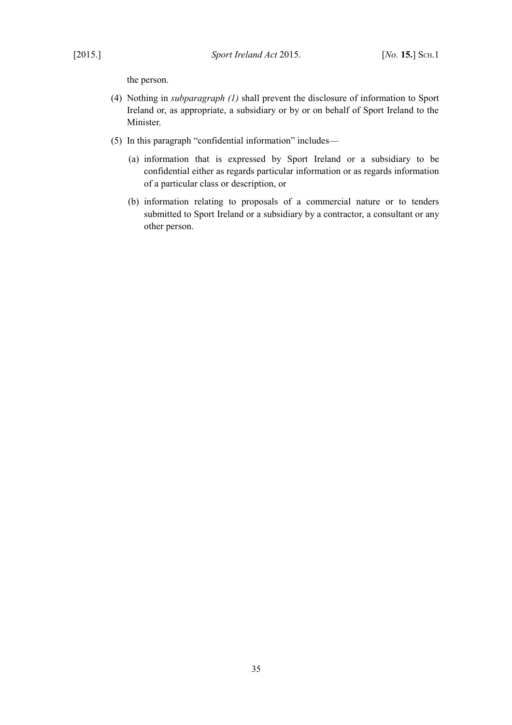the person.

- (4) Nothing in *subparagraph [\(1\)](#page-35-0)* shall prevent the disclosure of information to Sport Ireland or, as appropriate, a subsidiary or by or on behalf of Sport Ireland to the Minister.
- (5) In this paragraph "confidential information" includes—
	- (a) information that is expressed by Sport Ireland or a subsidiary to be confidential either as regards particular information or as regards information of a particular class or description, or
	- (b) information relating to proposals of a commercial nature or to tenders submitted to Sport Ireland or a subsidiary by a contractor, a consultant or any other person.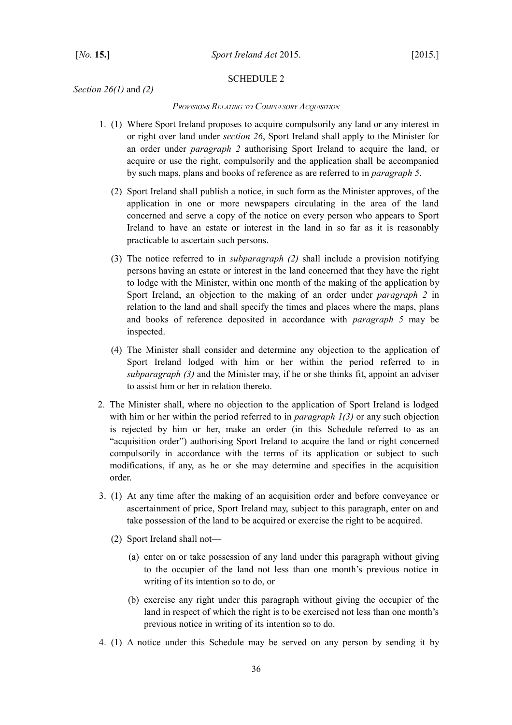#### <span id="page-37-2"></span><span id="page-37-1"></span>SCHEDULE 2

*Section [26](#page-20-5)[\(1\)](#page-20-6)* and *[\(2\)](#page-20-7)*

#### <span id="page-37-0"></span>*PROVISIONS RELATING TO COMPULSORY ACQUISITION*

- <span id="page-37-6"></span><span id="page-37-5"></span><span id="page-37-4"></span>1. (1) Where Sport Ireland proposes to acquire compulsorily any land or any interest in or right over land under *section [26](#page-20-5)*, Sport Ireland shall apply to the Minister for an order under *paragraph [2](#page-37-3)* authorising Sport Ireland to acquire the land, or acquire or use the right, compulsorily and the application shall be accompanied by such maps, plans and books of reference as are referred to in *paragraph [5](#page-38-3)*.
	- (2) Sport Ireland shall publish a notice, in such form as the Minister approves, of the application in one or more newspapers circulating in the area of the land concerned and serve a copy of the notice on every person who appears to Sport Ireland to have an estate or interest in the land in so far as it is reasonably practicable to ascertain such persons.
	- (3) The notice referred to in *subparagraph [\(2\)](#page-37-6)* shall include a provision notifying persons having an estate or interest in the land concerned that they have the right to lodge with the Minister, within one month of the making of the application by Sport Ireland, an objection to the making of an order under *paragraph [2](#page-37-3)* in relation to the land and shall specify the times and places where the maps, plans and books of reference deposited in accordance with *paragraph [5](#page-38-3)* may be inspected.
	- (4) The Minister shall consider and determine any objection to the application of Sport Ireland lodged with him or her within the period referred to in *subparagraph [\(3\)](#page-37-5)* and the Minister may, if he or she thinks fit, appoint an adviser to assist him or her in relation thereto.
- <span id="page-37-3"></span>2. The Minister shall, where no objection to the application of Sport Ireland is lodged with him or her within the period referred to in *paragraph [1](#page-37-4)[\(3\)](#page-37-5)* or any such objection is rejected by him or her, make an order (in this Schedule referred to as an "acquisition order") authorising Sport Ireland to acquire the land or right concerned compulsorily in accordance with the terms of its application or subject to such modifications, if any, as he or she may determine and specifies in the acquisition order.
- <span id="page-37-7"></span>3. (1) At any time after the making of an acquisition order and before conveyance or ascertainment of price, Sport Ireland may, subject to this paragraph, enter on and take possession of the land to be acquired or exercise the right to be acquired.
	- (2) Sport Ireland shall not—
		- (a) enter on or take possession of any land under this paragraph without giving to the occupier of the land not less than one month's previous notice in writing of its intention so to do, or
		- (b) exercise any right under this paragraph without giving the occupier of the land in respect of which the right is to be exercised not less than one month's previous notice in writing of its intention so to do.
- 4. (1) A notice under this Schedule may be served on any person by sending it by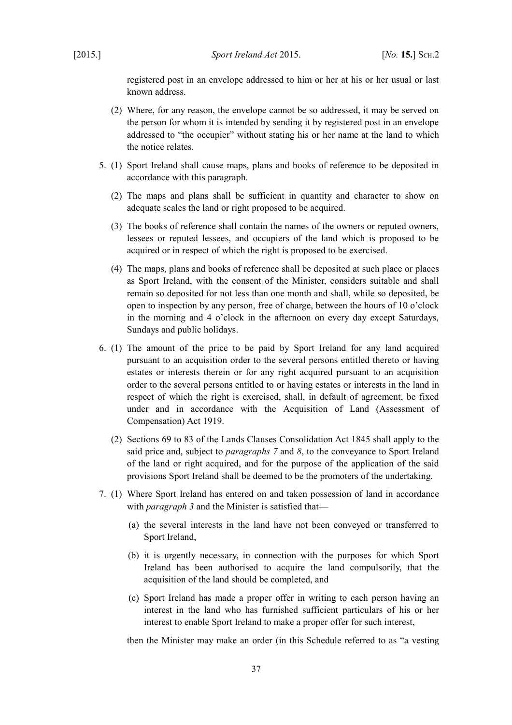registered post in an envelope addressed to him or her at his or her usual or last known address.

- (2) Where, for any reason, the envelope cannot be so addressed, it may be served on the person for whom it is intended by sending it by registered post in an envelope addressed to "the occupier" without stating his or her name at the land to which the notice relates.
- <span id="page-38-3"></span>5. (1) Sport Ireland shall cause maps, plans and books of reference to be deposited in accordance with this paragraph.
	- (2) The maps and plans shall be sufficient in quantity and character to show on adequate scales the land or right proposed to be acquired.
	- (3) The books of reference shall contain the names of the owners or reputed owners, lessees or reputed lessees, and occupiers of the land which is proposed to be acquired or in respect of which the right is proposed to be exercised.
	- (4) The maps, plans and books of reference shall be deposited at such place or places as Sport Ireland, with the consent of the Minister, considers suitable and shall remain so deposited for not less than one month and shall, while so deposited, be open to inspection by any person, free of charge, between the hours of 10 o'clock in the morning and 4 o'clock in the afternoon on every day except Saturdays, Sundays and public holidays.
- <span id="page-38-0"></span>6. (1) The amount of the price to be paid by Sport Ireland for any land acquired pursuant to an acquisition order to the several persons entitled thereto or having estates or interests therein or for any right acquired pursuant to an acquisition order to the several persons entitled to or having estates or interests in the land in respect of which the right is exercised, shall, in default of agreement, be fixed under and in accordance with the [Acquisition of Land \(Assessment of](http://www.irishstatutebook.ie/1919/en/act/pub/0057/index.html) [Compensation\) Act 1919.](http://www.irishstatutebook.ie/1919/en/act/pub/0057/index.html)
	- (2) Sections 69 to 83 of the [Lands Clauses Consolidation Act 1845](http://www.irishstatutebook.ie/1845/en/act/pub/0018/index.html) shall apply to the said price and, subject to *paragraphs [7](#page-38-1)* and *[8](#page-39-0)*, to the conveyance to Sport Ireland of the land or right acquired, and for the purpose of the application of the said provisions Sport Ireland shall be deemed to be the promoters of the undertaking.
- <span id="page-38-2"></span><span id="page-38-1"></span>7. (1) Where Sport Ireland has entered on and taken possession of land in accordance with *paragraph [3](#page-37-7)* and the Minister is satisfied that—
	- (a) the several interests in the land have not been conveyed or transferred to Sport Ireland,
	- (b) it is urgently necessary, in connection with the purposes for which Sport Ireland has been authorised to acquire the land compulsorily, that the acquisition of the land should be completed, and
	- (c) Sport Ireland has made a proper offer in writing to each person having an interest in the land who has furnished sufficient particulars of his or her interest to enable Sport Ireland to make a proper offer for such interest,

then the Minister may make an order (in this Schedule referred to as "a vesting